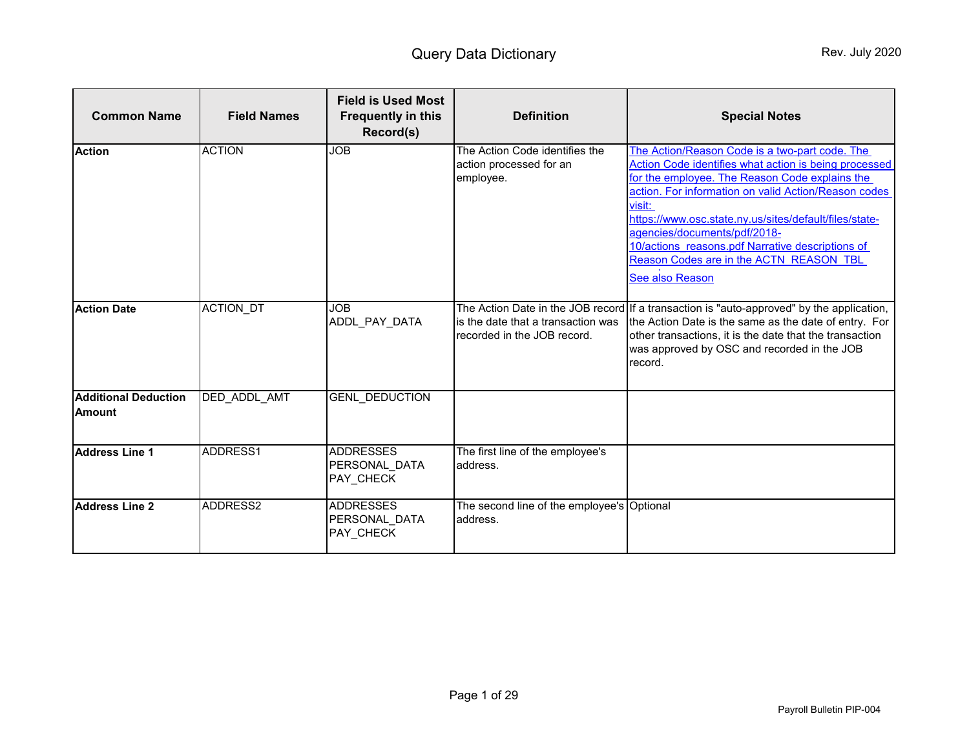<span id="page-0-0"></span>

| <b>Common Name</b>                           | <b>Field Names</b>  | <b>Field is Used Most</b><br><b>Frequently in this</b><br>Record(s) | <b>Definition</b>                                                      | <b>Special Notes</b>                                                                                                                                                                                                                                                                                                                                                                                                                    |
|----------------------------------------------|---------------------|---------------------------------------------------------------------|------------------------------------------------------------------------|-----------------------------------------------------------------------------------------------------------------------------------------------------------------------------------------------------------------------------------------------------------------------------------------------------------------------------------------------------------------------------------------------------------------------------------------|
| <b>Action</b>                                | <b>ACTION</b>       | <b>JOB</b>                                                          | The Action Code identifies the<br>action processed for an<br>employee. | The Action/Reason Code is a two-part code. The<br>Action Code identifies what action is being processed<br>for the employee. The Reason Code explains the<br>action. For information on valid Action/Reason codes<br>visit:<br>https://www.osc.state.ny.us/sites/default/files/state-<br>agencies/documents/pdf/2018-<br>10/actions reasons.pdf Narrative descriptions of<br>Reason Codes are in the ACTN REASON TBL<br>See also Reason |
| <b>Action Date</b>                           | <b>ACTION DT</b>    | <b>JOB</b><br>ADDL_PAY_DATA                                         | is the date that a transaction was<br>recorded in the JOB record.      | The Action Date in the JOB record If a transaction is "auto-approved" by the application,<br>the Action Date is the same as the date of entry. For<br>other transactions, it is the date that the transaction<br>was approved by OSC and recorded in the JOB<br>record.                                                                                                                                                                 |
| <b>Additional Deduction</b><br><b>Amount</b> | <b>DED ADDL AMT</b> | <b>GENL DEDUCTION</b>                                               |                                                                        |                                                                                                                                                                                                                                                                                                                                                                                                                                         |
| <b>Address Line 1</b>                        | ADDRESS1            | <b>ADDRESSES</b><br>PERSONAL DATA<br>PAY CHECK                      | The first line of the employee's<br>address.                           |                                                                                                                                                                                                                                                                                                                                                                                                                                         |
| <b>Address Line 2</b>                        | ADDRESS2            | <b>ADDRESSES</b><br>PERSONAL DATA<br>PAY_CHECK                      | The second line of the employee's Optional<br>address.                 |                                                                                                                                                                                                                                                                                                                                                                                                                                         |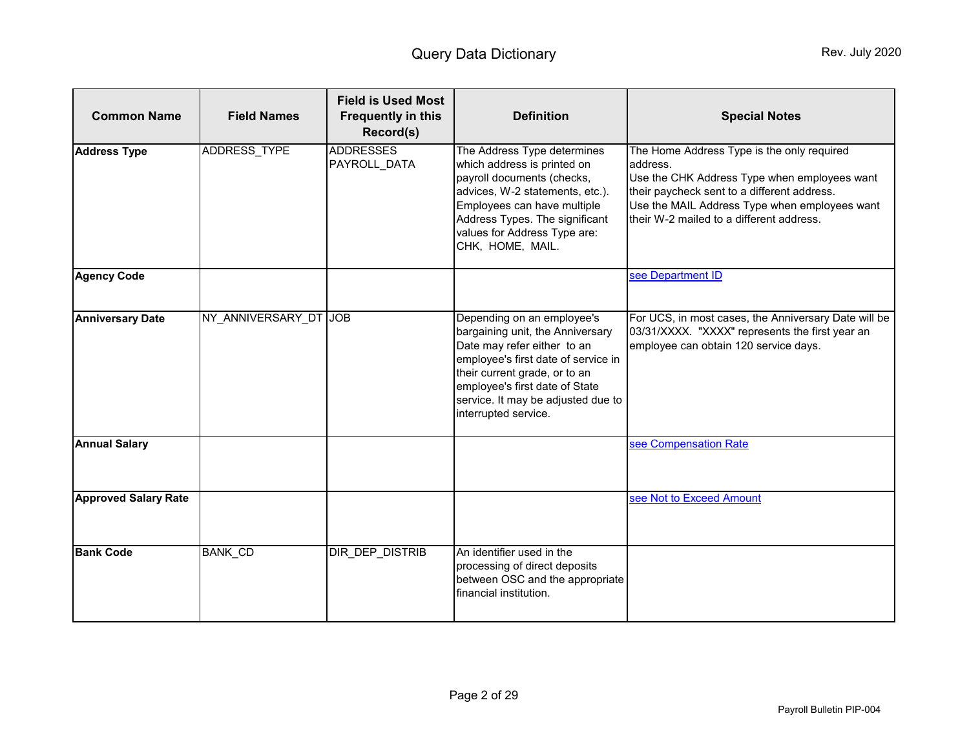<span id="page-1-0"></span>

| <b>Common Name</b>          | <b>Field Names</b>    | <b>Field is Used Most</b><br><b>Frequently in this</b><br>Record(s) | <b>Definition</b>                                                                                                                                                                                                                                                     | <b>Special Notes</b>                                                                                                                                                                                                                               |
|-----------------------------|-----------------------|---------------------------------------------------------------------|-----------------------------------------------------------------------------------------------------------------------------------------------------------------------------------------------------------------------------------------------------------------------|----------------------------------------------------------------------------------------------------------------------------------------------------------------------------------------------------------------------------------------------------|
| <b>Address Type</b>         | ADDRESS_TYPE          | <b>ADDRESSES</b><br>PAYROLL_DATA                                    | The Address Type determines<br>which address is printed on<br>payroll documents (checks,<br>advices, W-2 statements, etc.).<br>Employees can have multiple<br>Address Types. The significant<br>values for Address Type are:<br>CHK, HOME, MAIL.                      | The Home Address Type is the only required<br>address.<br>Use the CHK Address Type when employees want<br>their paycheck sent to a different address.<br>Use the MAIL Address Type when employees want<br>their W-2 mailed to a different address. |
| <b>Agency Code</b>          |                       |                                                                     |                                                                                                                                                                                                                                                                       | see Department ID                                                                                                                                                                                                                                  |
| <b>Anniversary Date</b>     | NY_ANNIVERSARY_DT JOB |                                                                     | Depending on an employee's<br>bargaining unit, the Anniversary<br>Date may refer either to an<br>employee's first date of service in<br>their current grade, or to an<br>employee's first date of State<br>service. It may be adjusted due to<br>interrupted service. | For UCS, in most cases, the Anniversary Date will be<br>03/31/XXXX. "XXXX" represents the first year an<br>employee can obtain 120 service days.                                                                                                   |
| <b>Annual Salary</b>        |                       |                                                                     |                                                                                                                                                                                                                                                                       | see Compensation Rate                                                                                                                                                                                                                              |
| <b>Approved Salary Rate</b> |                       |                                                                     |                                                                                                                                                                                                                                                                       | see Not to Exceed Amount                                                                                                                                                                                                                           |
| <b>Bank Code</b>            | <b>BANK_CD</b>        | DIR_DEP_DISTRIB                                                     | An identifier used in the<br>processing of direct deposits<br>between OSC and the appropriate<br>financial institution.                                                                                                                                               |                                                                                                                                                                                                                                                    |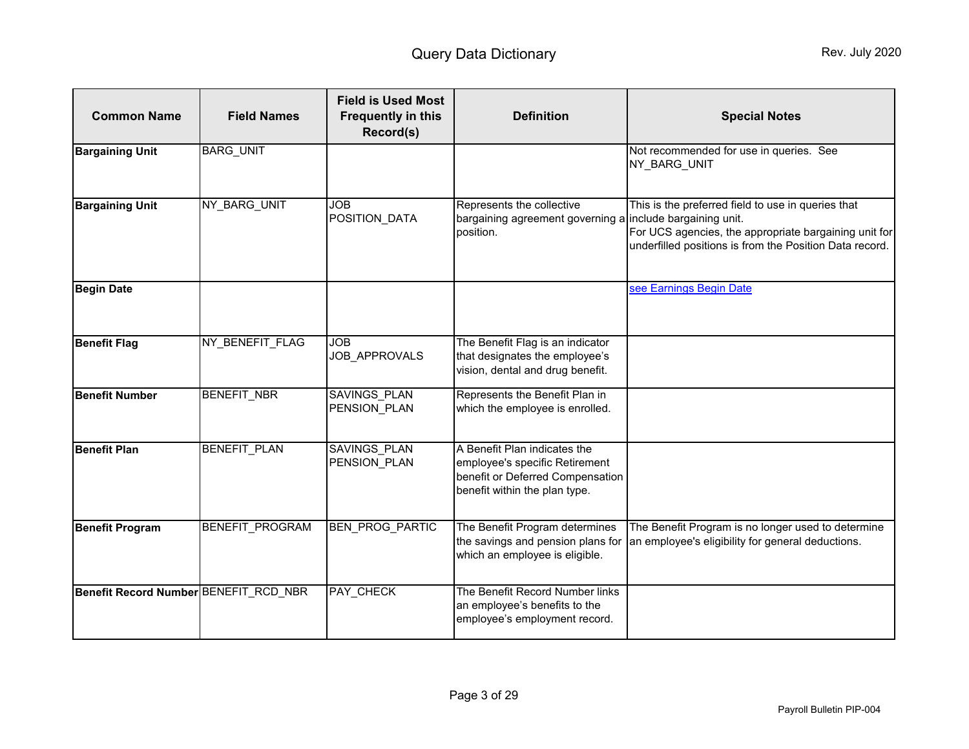<span id="page-2-0"></span>

| <b>Common Name</b>                    | <b>Field Names</b>     | <b>Field is Used Most</b><br><b>Frequently in this</b><br>Record(s) | <b>Definition</b>                                                                                                                   | <b>Special Notes</b>                                                                                                                                                                               |
|---------------------------------------|------------------------|---------------------------------------------------------------------|-------------------------------------------------------------------------------------------------------------------------------------|----------------------------------------------------------------------------------------------------------------------------------------------------------------------------------------------------|
| <b>Bargaining Unit</b>                | <b>BARG_UNIT</b>       |                                                                     |                                                                                                                                     | Not recommended for use in queries. See<br>NY_BARG_UNIT                                                                                                                                            |
| <b>Bargaining Unit</b>                | NY BARG UNIT           | <b>JOB</b><br>POSITION DATA                                         | Represents the collective<br>bargaining agreement governing a<br>position.                                                          | This is the preferred field to use in queries that<br>include bargaining unit.<br>For UCS agencies, the appropriate bargaining unit for<br>underfilled positions is from the Position Data record. |
| <b>Begin Date</b>                     |                        |                                                                     |                                                                                                                                     | see Earnings Begin Date                                                                                                                                                                            |
| <b>Benefit Flag</b>                   | NY_BENEFIT_FLAG        | <b>JOB</b><br>JOB_APPROVALS                                         | The Benefit Flag is an indicator<br>that designates the employee's<br>vision, dental and drug benefit.                              |                                                                                                                                                                                                    |
| <b>Benefit Number</b>                 | <b>BENEFIT NBR</b>     | <b>SAVINGS PLAN</b><br>PENSION PLAN                                 | Represents the Benefit Plan in<br>which the employee is enrolled.                                                                   |                                                                                                                                                                                                    |
| <b>Benefit Plan</b>                   | <b>BENEFIT PLAN</b>    | <b>SAVINGS PLAN</b><br>PENSION PLAN                                 | A Benefit Plan indicates the<br>employee's specific Retirement<br>benefit or Deferred Compensation<br>benefit within the plan type. |                                                                                                                                                                                                    |
| <b>Benefit Program</b>                | <b>BENEFIT PROGRAM</b> | BEN_PROG_PARTIC                                                     | The Benefit Program determines<br>the savings and pension plans for<br>which an employee is eligible.                               | The Benefit Program is no longer used to determine<br>an employee's eligibility for general deductions.                                                                                            |
| Benefit Record Number BENEFIT_RCD_NBR |                        | <b>PAY CHECK</b>                                                    | The Benefit Record Number links<br>an employee's benefits to the<br>employee's employment record.                                   |                                                                                                                                                                                                    |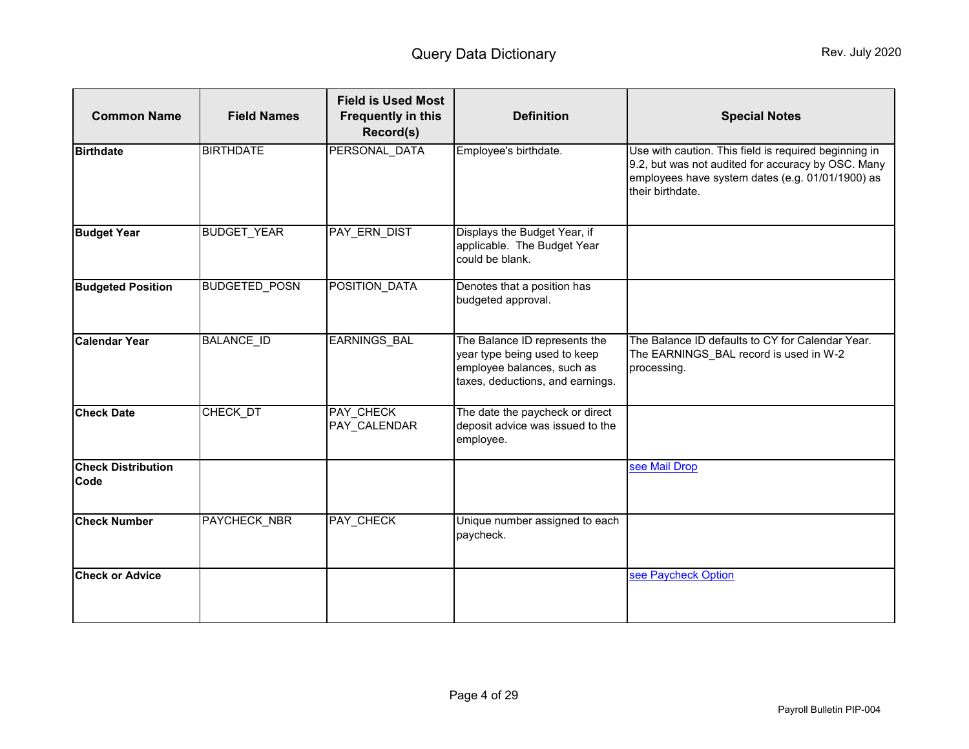<span id="page-3-0"></span>

| <b>Common Name</b>                | <b>Field Names</b>   | <b>Field is Used Most</b><br><b>Frequently in this</b><br>Record(s) | <b>Definition</b>                                                                                                               | <b>Special Notes</b>                                                                                                                                                                |
|-----------------------------------|----------------------|---------------------------------------------------------------------|---------------------------------------------------------------------------------------------------------------------------------|-------------------------------------------------------------------------------------------------------------------------------------------------------------------------------------|
| <b>Birthdate</b>                  | <b>BIRTHDATE</b>     | PERSONAL DATA                                                       | Employee's birthdate.                                                                                                           | Use with caution. This field is required beginning in<br>9.2, but was not audited for accuracy by OSC. Many<br>employees have system dates (e.g. 01/01/1900) as<br>their birthdate. |
| <b>Budget Year</b>                | <b>BUDGET YEAR</b>   | PAY ERN DIST                                                        | Displays the Budget Year, if<br>applicable. The Budget Year<br>could be blank.                                                  |                                                                                                                                                                                     |
| <b>Budgeted Position</b>          | <b>BUDGETED POSN</b> | POSITION_DATA                                                       | Denotes that a position has<br>budgeted approval.                                                                               |                                                                                                                                                                                     |
| <b>Calendar Year</b>              | <b>BALANCE_ID</b>    | EARNINGS_BAL                                                        | The Balance ID represents the<br>year type being used to keep<br>employee balances, such as<br>taxes, deductions, and earnings. | The Balance ID defaults to CY for Calendar Year.<br>The EARNINGS_BAL record is used in W-2<br>processing.                                                                           |
| <b>Check Date</b>                 | CHECK DT             | PAY CHECK<br>PAY_CALENDAR                                           | The date the paycheck or direct<br>deposit advice was issued to the<br>employee.                                                |                                                                                                                                                                                     |
| <b>Check Distribution</b><br>Code |                      |                                                                     |                                                                                                                                 | see Mail Drop                                                                                                                                                                       |
| <b>Check Number</b>               | PAYCHECK NBR         | <b>PAY CHECK</b>                                                    | Unique number assigned to each<br>paycheck.                                                                                     |                                                                                                                                                                                     |
| <b>Check or Advice</b>            |                      |                                                                     |                                                                                                                                 | see Paycheck Option                                                                                                                                                                 |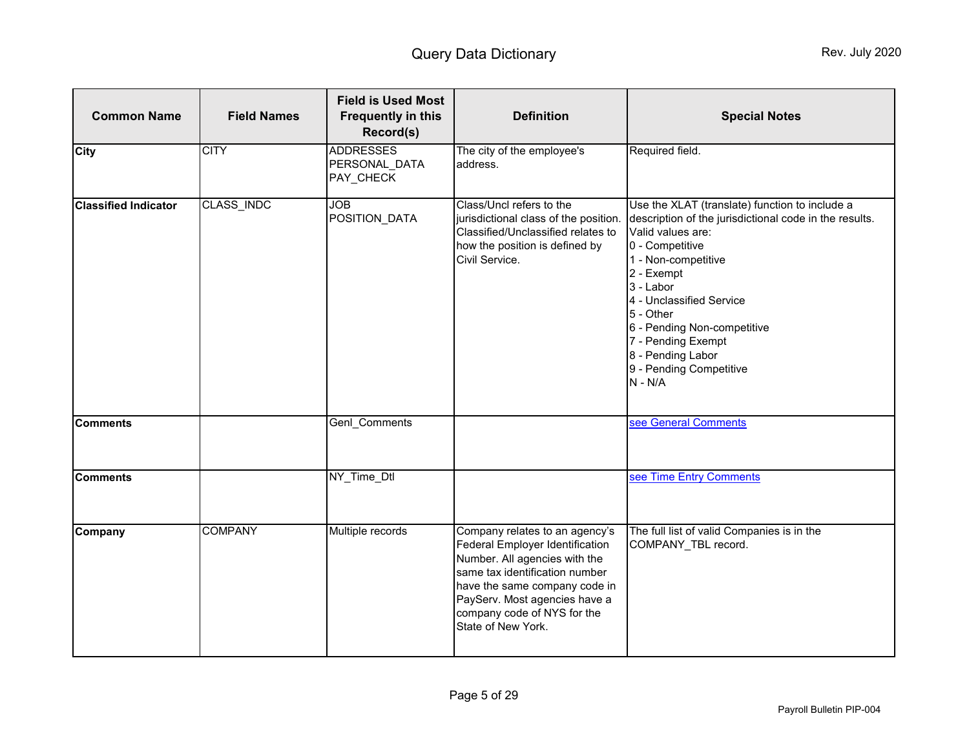<span id="page-4-0"></span>

| <b>Common Name</b>          | <b>Field Names</b> | <b>Field is Used Most</b><br><b>Frequently in this</b><br>Record(s) | <b>Definition</b>                                                                                                                                                                                                                                           | <b>Special Notes</b>                                                                                                                                                                                                                                                                                                                                          |
|-----------------------------|--------------------|---------------------------------------------------------------------|-------------------------------------------------------------------------------------------------------------------------------------------------------------------------------------------------------------------------------------------------------------|---------------------------------------------------------------------------------------------------------------------------------------------------------------------------------------------------------------------------------------------------------------------------------------------------------------------------------------------------------------|
| <b>City</b>                 | <b>CITY</b>        | <b>ADDRESSES</b><br>PERSONAL_DATA<br>PAY_CHECK                      | The city of the employee's<br>address.                                                                                                                                                                                                                      | Required field.                                                                                                                                                                                                                                                                                                                                               |
| <b>Classified Indicator</b> | CLASS_INDC         | <b>JOB</b><br>POSITION_DATA                                         | Class/Uncl refers to the<br>jurisdictional class of the position.<br>Classified/Unclassified relates to<br>how the position is defined by<br>Civil Service.                                                                                                 | Use the XLAT (translate) function to include a<br>description of the jurisdictional code in the results.<br>Valid values are:<br>0 - Competitive<br>1 - Non-competitive<br>2 - Exempt<br>3 - Labor<br>4 - Unclassified Service<br>5 - Other<br>6 - Pending Non-competitive<br>7 - Pending Exempt<br>8 - Pending Labor<br>9 - Pending Competitive<br>$N - N/A$ |
| <b>Comments</b>             |                    | Genl Comments                                                       |                                                                                                                                                                                                                                                             | see General Comments                                                                                                                                                                                                                                                                                                                                          |
| <b>Comments</b>             |                    | NY_Time_Dtl                                                         |                                                                                                                                                                                                                                                             | see Time Entry Comments                                                                                                                                                                                                                                                                                                                                       |
| Company                     | <b>COMPANY</b>     | Multiple records                                                    | Company relates to an agency's<br>Federal Employer Identification<br>Number. All agencies with the<br>same tax identification number<br>have the same company code in<br>PayServ. Most agencies have a<br>company code of NYS for the<br>State of New York. | The full list of valid Companies is in the<br>COMPANY_TBL record.                                                                                                                                                                                                                                                                                             |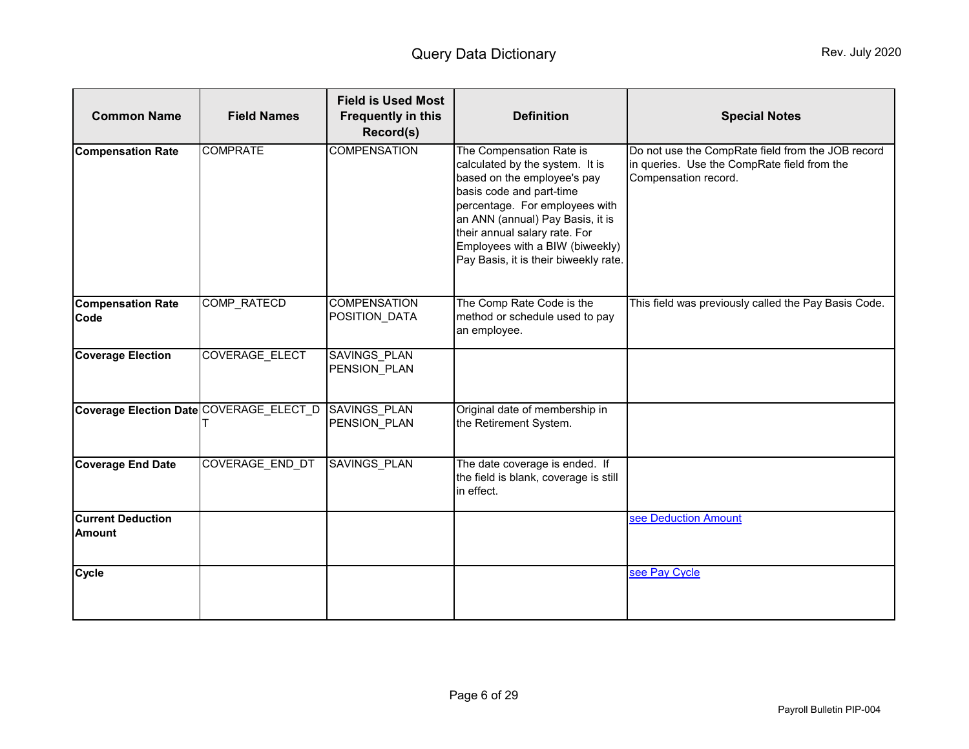<span id="page-5-1"></span><span id="page-5-0"></span>

| <b>Common Name</b>                        | <b>Field Names</b>     | <b>Field is Used Most</b><br><b>Frequently in this</b><br>Record(s) | <b>Definition</b>                                                                                                                                                                                                                                                                                         | <b>Special Notes</b>                                                                                                     |
|-------------------------------------------|------------------------|---------------------------------------------------------------------|-----------------------------------------------------------------------------------------------------------------------------------------------------------------------------------------------------------------------------------------------------------------------------------------------------------|--------------------------------------------------------------------------------------------------------------------------|
| <b>Compensation Rate</b>                  | <b>COMPRATE</b>        | <b>COMPENSATION</b>                                                 | The Compensation Rate is<br>calculated by the system. It is<br>based on the employee's pay<br>basis code and part-time<br>percentage. For employees with<br>an ANN (annual) Pay Basis, it is<br>their annual salary rate. For<br>Employees with a BIW (biweekly)<br>Pay Basis, it is their biweekly rate. | Do not use the CompRate field from the JOB record<br>in queries. Use the CompRate field from the<br>Compensation record. |
| <b>Compensation Rate</b><br>Code          | COMP_RATECD            | <b>COMPENSATION</b><br>POSITION_DATA                                | The Comp Rate Code is the<br>method or schedule used to pay<br>an employee.                                                                                                                                                                                                                               | This field was previously called the Pay Basis Code.                                                                     |
| <b>Coverage Election</b>                  | <b>COVERAGE ELECT</b>  | SAVINGS_PLAN<br>PENSION PLAN                                        |                                                                                                                                                                                                                                                                                                           |                                                                                                                          |
| Coverage Election Date COVERAGE_ELECT_D   |                        | SAVINGS_PLAN<br>PENSION_PLAN                                        | Original date of membership in<br>the Retirement System.                                                                                                                                                                                                                                                  |                                                                                                                          |
| <b>Coverage End Date</b>                  | <b>COVERAGE END DT</b> | <b>SAVINGS PLAN</b>                                                 | The date coverage is ended. If<br>the field is blank, coverage is still<br>in effect.                                                                                                                                                                                                                     |                                                                                                                          |
| <b>Current Deduction</b><br><b>Amount</b> |                        |                                                                     |                                                                                                                                                                                                                                                                                                           | see Deduction Amount                                                                                                     |
| <b>Cycle</b>                              |                        |                                                                     |                                                                                                                                                                                                                                                                                                           | see Pay Cycle                                                                                                            |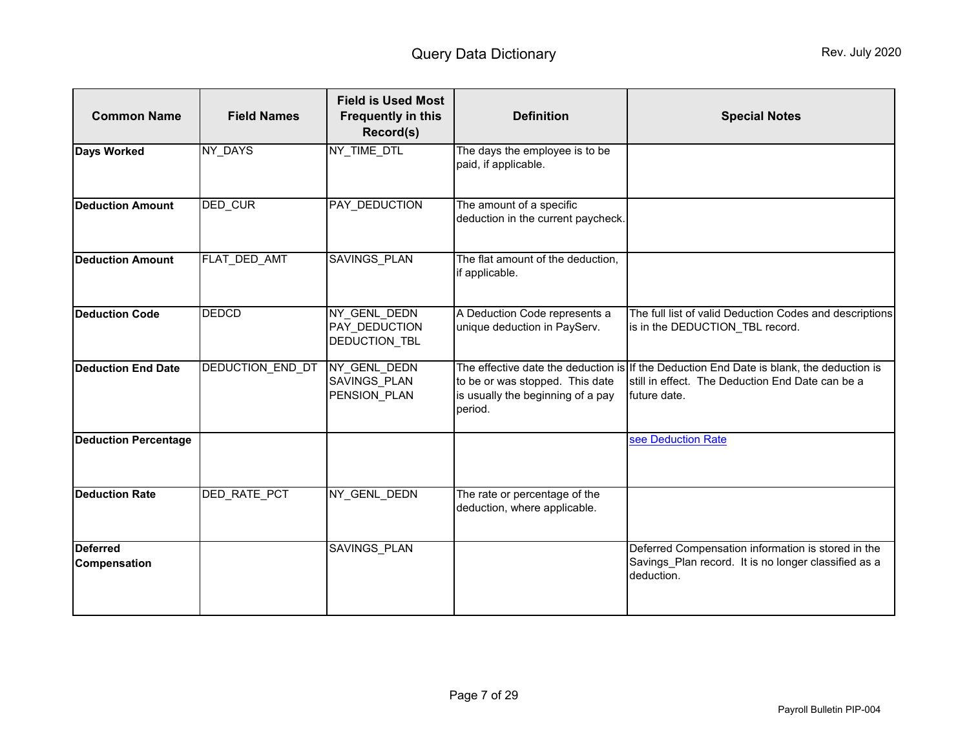<span id="page-6-1"></span><span id="page-6-0"></span>

| <b>Common Name</b>                     | <b>Field Names</b>  | <b>Field is Used Most</b><br><b>Frequently in this</b><br>Record(s) | <b>Definition</b>                                                               | <b>Special Notes</b>                                                                                                                                         |
|----------------------------------------|---------------------|---------------------------------------------------------------------|---------------------------------------------------------------------------------|--------------------------------------------------------------------------------------------------------------------------------------------------------------|
| <b>Days Worked</b>                     | NY DAYS             | NY TIME DTL                                                         | The days the employee is to be<br>paid, if applicable.                          |                                                                                                                                                              |
| <b>Deduction Amount</b>                | <b>DED CUR</b>      | <b>PAY DEDUCTION</b>                                                | The amount of a specific<br>deduction in the current paycheck.                  |                                                                                                                                                              |
| <b>Deduction Amount</b>                | FLAT DED AMT        | <b>SAVINGS PLAN</b>                                                 | The flat amount of the deduction,<br>if applicable.                             |                                                                                                                                                              |
| <b>Deduction Code</b>                  | <b>DEDCD</b>        | NY_GENL_DEDN<br><b>PAY DEDUCTION</b><br><b>DEDUCTION TBL</b>        | A Deduction Code represents a<br>unique deduction in PayServ.                   | The full list of valid Deduction Codes and descriptions<br>is in the DEDUCTION TBL record.                                                                   |
| Deduction End Date                     | DEDUCTION END DT    | NY_GENL_DEDN<br><b>SAVINGS PLAN</b><br>PENSION PLAN                 | to be or was stopped. This date<br>is usually the beginning of a pay<br>period. | The effective date the deduction is If the Deduction End Date is blank, the deduction is<br>still in effect. The Deduction End Date can be a<br>future date. |
| <b>Deduction Percentage</b>            |                     |                                                                     |                                                                                 | see Deduction Rate                                                                                                                                           |
| <b>Deduction Rate</b>                  | <b>DED RATE PCT</b> | NY GENL DEDN                                                        | The rate or percentage of the<br>deduction, where applicable.                   |                                                                                                                                                              |
| <b>Deferred</b><br><b>Compensation</b> |                     | <b>SAVINGS PLAN</b>                                                 |                                                                                 | Deferred Compensation information is stored in the<br>Savings Plan record. It is no longer classified as a<br>deduction.                                     |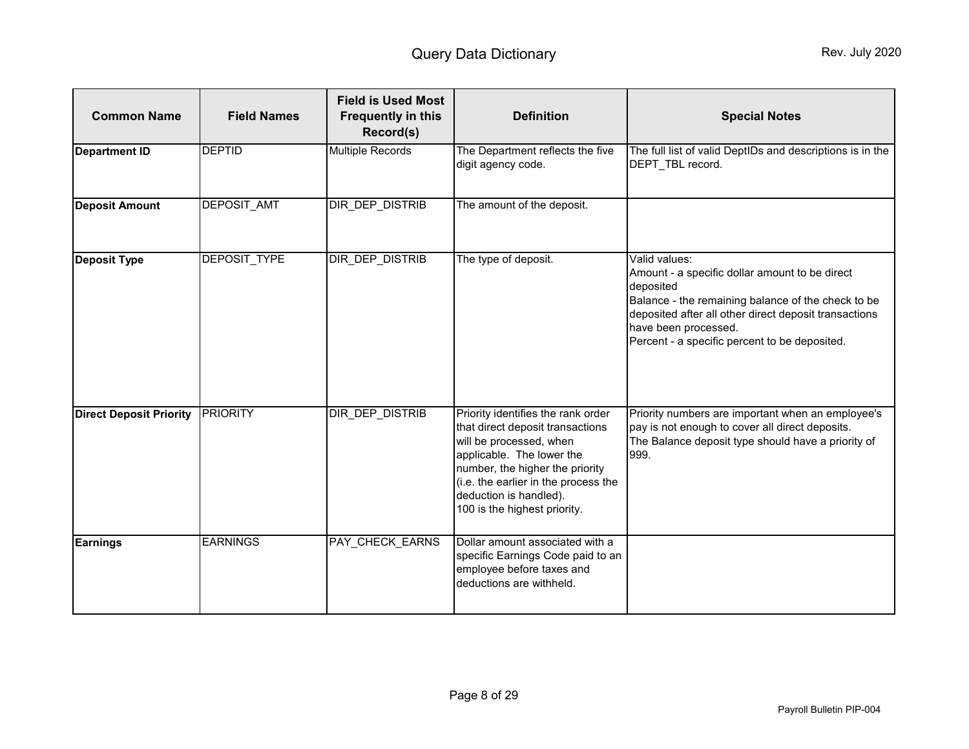<span id="page-7-1"></span><span id="page-7-0"></span>

| <b>Common Name</b>             | <b>Field Names</b>  | <b>Field is Used Most</b><br><b>Frequently in this</b><br>Record(s) | <b>Definition</b>                                                                                                                                                                                                                                                   | <b>Special Notes</b>                                                                                                                                                                                                                                                 |
|--------------------------------|---------------------|---------------------------------------------------------------------|---------------------------------------------------------------------------------------------------------------------------------------------------------------------------------------------------------------------------------------------------------------------|----------------------------------------------------------------------------------------------------------------------------------------------------------------------------------------------------------------------------------------------------------------------|
| <b>Department ID</b>           | <b>DEPTID</b>       | <b>Multiple Records</b>                                             | The Department reflects the five<br>digit agency code.                                                                                                                                                                                                              | The full list of valid DeptIDs and descriptions is in the<br>DEPT TBL record.                                                                                                                                                                                        |
| <b>Deposit Amount</b>          | <b>DEPOSIT AMT</b>  | DIR DEP DISTRIB                                                     | The amount of the deposit.                                                                                                                                                                                                                                          |                                                                                                                                                                                                                                                                      |
| <b>Deposit Type</b>            | <b>DEPOSIT TYPE</b> | DIR DEP DISTRIB                                                     | The type of deposit.                                                                                                                                                                                                                                                | Valid values:<br>Amount - a specific dollar amount to be direct<br>deposited<br>Balance - the remaining balance of the check to be<br>deposited after all other direct deposit transactions<br>have been processed.<br>Percent - a specific percent to be deposited. |
| <b>Direct Deposit Priority</b> | <b>PRIORITY</b>     | DIR_DEP_DISTRIB                                                     | Priority identifies the rank order<br>that direct deposit transactions<br>will be processed, when<br>applicable. The lower the<br>number, the higher the priority<br>(i.e. the earlier in the process the<br>deduction is handled).<br>100 is the highest priority. | Priority numbers are important when an employee's<br>pay is not enough to cover all direct deposits.<br>The Balance deposit type should have a priority of<br>999.                                                                                                   |
| <b>Earnings</b>                | <b>EARNINGS</b>     | <b>PAY CHECK EARNS</b>                                              | Dollar amount associated with a<br>specific Earnings Code paid to an<br>employee before taxes and<br>deductions are withheld.                                                                                                                                       |                                                                                                                                                                                                                                                                      |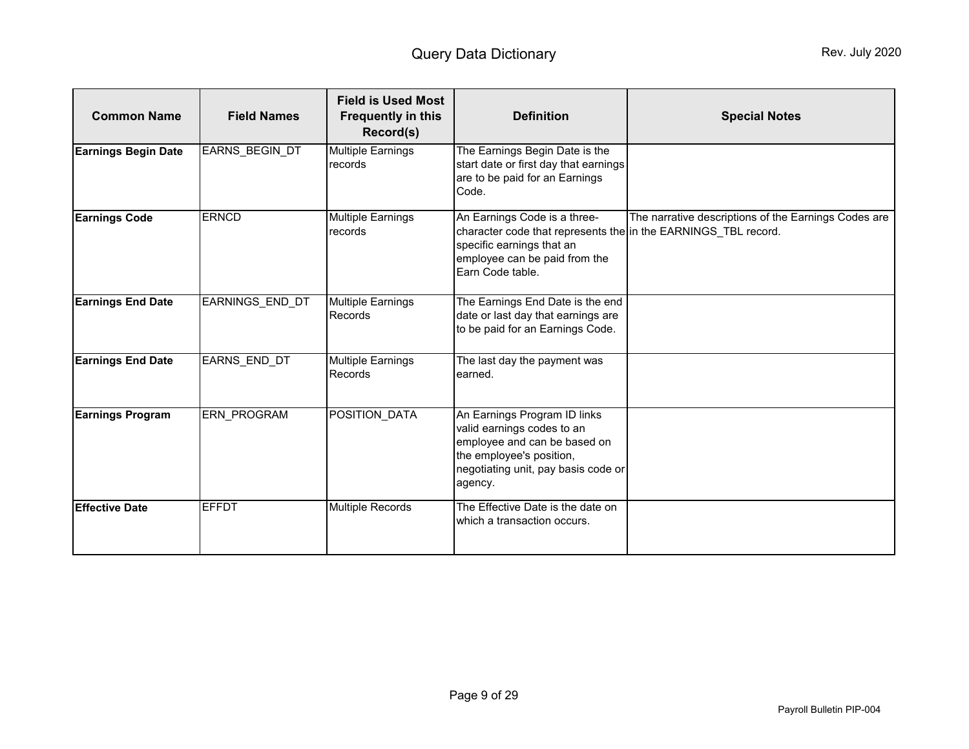<span id="page-8-1"></span><span id="page-8-0"></span>

| <b>Common Name</b>         | <b>Field Names</b> | <b>Field is Used Most</b><br><b>Frequently in this</b><br>Record(s) | <b>Definition</b>                                                                                                                                                                | <b>Special Notes</b>                                 |
|----------------------------|--------------------|---------------------------------------------------------------------|----------------------------------------------------------------------------------------------------------------------------------------------------------------------------------|------------------------------------------------------|
| <b>Earnings Begin Date</b> | EARNS BEGIN DT     | <b>Multiple Earnings</b><br>records                                 | The Earnings Begin Date is the<br>start date or first day that earnings<br>are to be paid for an Earnings<br>Code.                                                               |                                                      |
| <b>Earnings Code</b>       | <b>ERNCD</b>       | <b>Multiple Earnings</b><br>records                                 | An Earnings Code is a three-<br>character code that represents the in the EARNINGS TBL record.<br>specific earnings that an<br>employee can be paid from the<br>Earn Code table. | The narrative descriptions of the Earnings Codes are |
| <b>Earnings End Date</b>   | EARNINGS END DT    | <b>Multiple Earnings</b><br>Records                                 | The Earnings End Date is the end<br>date or last day that earnings are<br>to be paid for an Earnings Code.                                                                       |                                                      |
| <b>Earnings End Date</b>   | EARNS_END_DT       | <b>Multiple Earnings</b><br><b>Records</b>                          | The last day the payment was<br>earned.                                                                                                                                          |                                                      |
| <b>Earnings Program</b>    | ERN PROGRAM        | POSITION_DATA                                                       | An Earnings Program ID links<br>valid earnings codes to an<br>employee and can be based on<br>the employee's position,<br>negotiating unit, pay basis code or<br>agency.         |                                                      |
| <b>Effective Date</b>      | <b>EFFDT</b>       | <b>Multiple Records</b>                                             | The Effective Date is the date on<br>which a transaction occurs.                                                                                                                 |                                                      |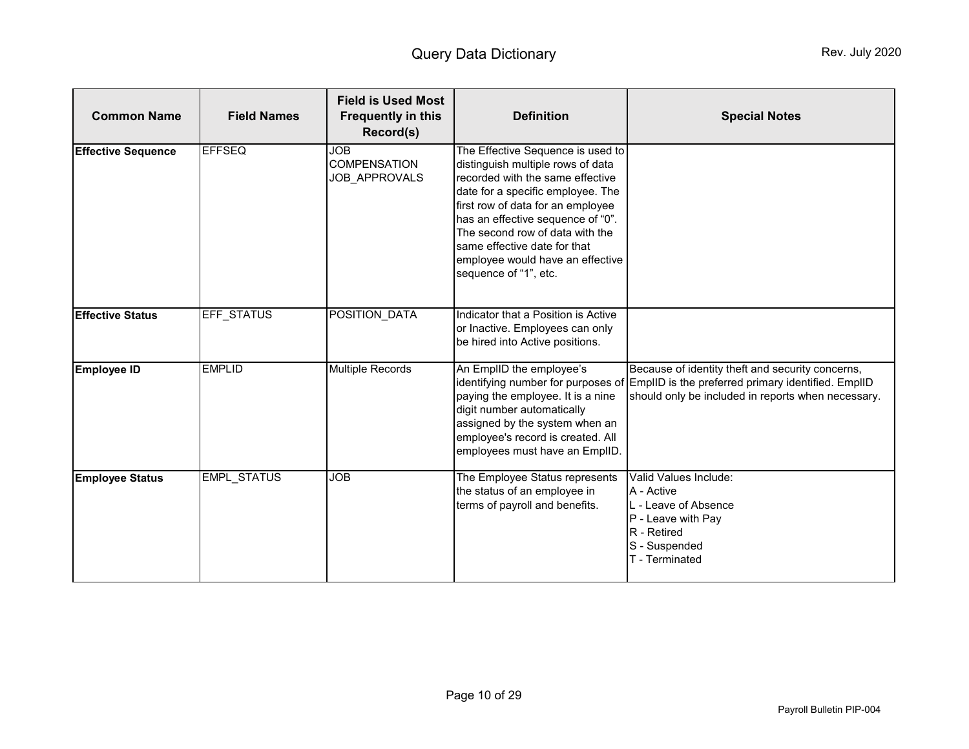<span id="page-9-1"></span><span id="page-9-0"></span>

| <b>Common Name</b>        | <b>Field Names</b> | <b>Field is Used Most</b><br><b>Frequently in this</b><br>Record(s) | <b>Definition</b>                                                                                                                                                                                                                                                                                                                                         | <b>Special Notes</b>                                                                                                                                                                            |
|---------------------------|--------------------|---------------------------------------------------------------------|-----------------------------------------------------------------------------------------------------------------------------------------------------------------------------------------------------------------------------------------------------------------------------------------------------------------------------------------------------------|-------------------------------------------------------------------------------------------------------------------------------------------------------------------------------------------------|
| <b>Effective Sequence</b> | <b>EFFSEQ</b>      | <b>JOB</b><br><b>COMPENSATION</b><br>JOB_APPROVALS                  | The Effective Sequence is used to<br>distinguish multiple rows of data<br>recorded with the same effective<br>date for a specific employee. The<br>first row of data for an employee<br>has an effective sequence of "0".<br>The second row of data with the<br>same effective date for that<br>employee would have an effective<br>sequence of "1", etc. |                                                                                                                                                                                                 |
| <b>Effective Status</b>   | <b>EFF STATUS</b>  | POSITION DATA                                                       | Indicator that a Position is Active<br>or Inactive. Employees can only<br>be hired into Active positions.                                                                                                                                                                                                                                                 |                                                                                                                                                                                                 |
| <b>Employee ID</b>        | <b>EMPLID</b>      | <b>Multiple Records</b>                                             | An EmplID the employee's<br>paying the employee. It is a nine<br>digit number automatically<br>assigned by the system when an<br>employee's record is created. All<br>employees must have an EmplID.                                                                                                                                                      | Because of identity theft and security concerns,<br>identifying number for purposes of EmpIID is the preferred primary identified. EmpIID<br>should only be included in reports when necessary. |
| <b>Employee Status</b>    | EMPL_STATUS        | <b>JOB</b>                                                          | The Employee Status represents<br>the status of an employee in<br>terms of payroll and benefits.                                                                                                                                                                                                                                                          | Valid Values Include:<br>A - Active<br>L - Leave of Absence<br>P - Leave with Pay<br>R - Retired<br>S - Suspended<br>T - Terminated                                                             |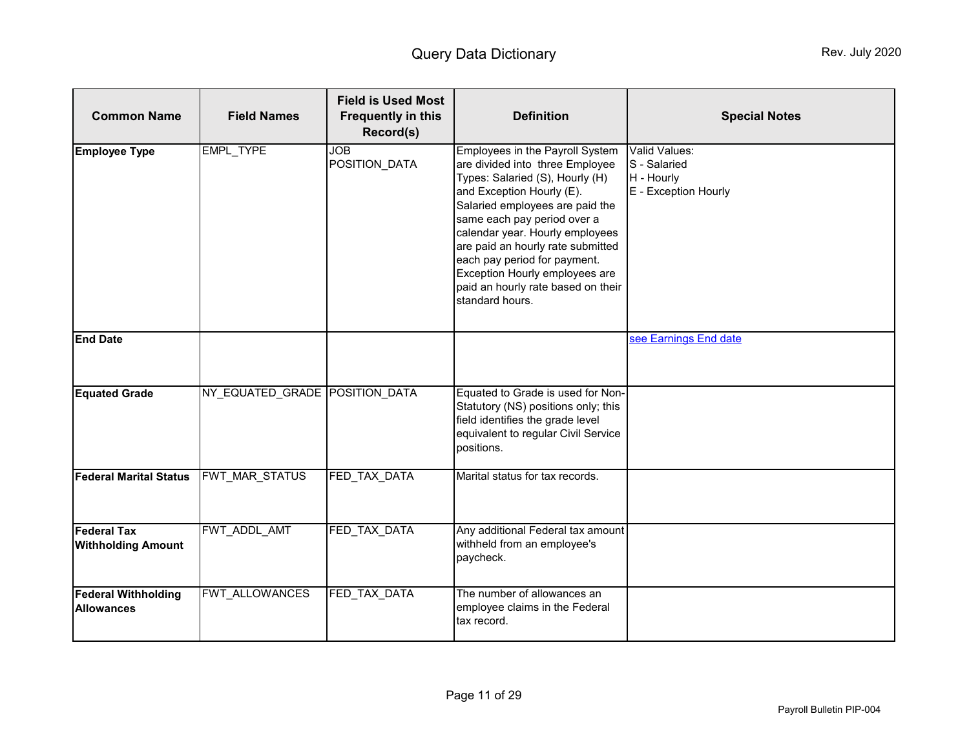<span id="page-10-1"></span><span id="page-10-0"></span>

| <b>Common Name</b>                              | <b>Field Names</b>             | <b>Field is Used Most</b><br><b>Frequently in this</b><br>Record(s) | <b>Definition</b>                                                                                                                                                                                                                                                                                                                                                                                       | <b>Special Notes</b>                                                |
|-------------------------------------------------|--------------------------------|---------------------------------------------------------------------|---------------------------------------------------------------------------------------------------------------------------------------------------------------------------------------------------------------------------------------------------------------------------------------------------------------------------------------------------------------------------------------------------------|---------------------------------------------------------------------|
| <b>Employee Type</b>                            | <b>EMPL TYPE</b>               | <b>JOB</b><br>POSITION_DATA                                         | Employees in the Payroll System<br>are divided into three Employee<br>Types: Salaried (S), Hourly (H)<br>and Exception Hourly (E).<br>Salaried employees are paid the<br>same each pay period over a<br>calendar year. Hourly employees<br>are paid an hourly rate submitted<br>each pay period for payment.<br>Exception Hourly employees are<br>paid an hourly rate based on their<br>standard hours. | Valid Values:<br>S - Salaried<br>H - Hourly<br>E - Exception Hourly |
| <b>End Date</b>                                 |                                |                                                                     |                                                                                                                                                                                                                                                                                                                                                                                                         | see Earnings End date                                               |
| <b>Equated Grade</b>                            | NY EQUATED GRADE POSITION DATA |                                                                     | Equated to Grade is used for Non-<br>Statutory (NS) positions only; this<br>field identifies the grade level<br>equivalent to regular Civil Service<br>positions.                                                                                                                                                                                                                                       |                                                                     |
| <b>Federal Marital Status</b>                   | <b>FWT MAR STATUS</b>          | FED TAX DATA                                                        | Marital status for tax records.                                                                                                                                                                                                                                                                                                                                                                         |                                                                     |
| <b>Federal Tax</b><br><b>Withholding Amount</b> | FWT_ADDL_AMT                   | FED_TAX_DATA                                                        | Any additional Federal tax amount<br>withheld from an employee's<br>paycheck.                                                                                                                                                                                                                                                                                                                           |                                                                     |
| <b>Federal Withholding</b><br><b>Allowances</b> | FWT ALLOWANCES                 | FED TAX DATA                                                        | The number of allowances an<br>employee claims in the Federal<br>tax record.                                                                                                                                                                                                                                                                                                                            |                                                                     |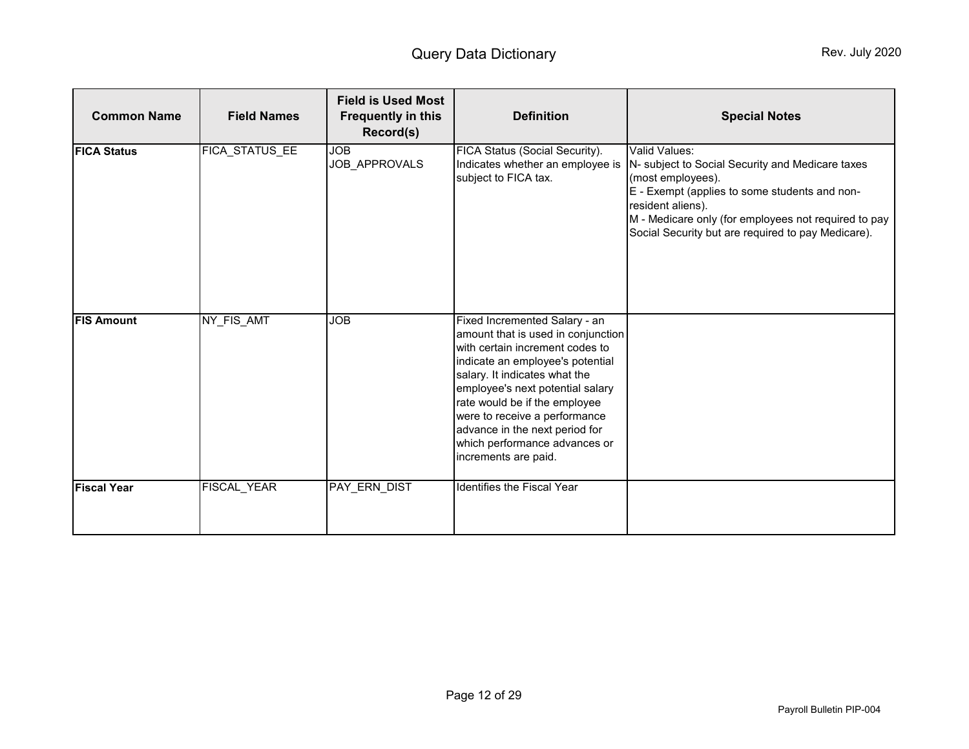| <b>Common Name</b> | <b>Field Names</b> | <b>Field is Used Most</b><br><b>Frequently in this</b><br>Record(s) | <b>Definition</b>                                                                                                                                                                                                                                                                                                                                                            | <b>Special Notes</b>                                                                                                                                                                                                                                                       |
|--------------------|--------------------|---------------------------------------------------------------------|------------------------------------------------------------------------------------------------------------------------------------------------------------------------------------------------------------------------------------------------------------------------------------------------------------------------------------------------------------------------------|----------------------------------------------------------------------------------------------------------------------------------------------------------------------------------------------------------------------------------------------------------------------------|
| <b>FICA Status</b> | FICA STATUS EE     | <b>JOB</b><br>JOB_APPROVALS                                         | FICA Status (Social Security).<br>Indicates whether an employee is<br>subject to FICA tax.                                                                                                                                                                                                                                                                                   | Valid Values:<br>N- subject to Social Security and Medicare taxes<br>(most employees).<br>E - Exempt (applies to some students and non-<br>resident aliens).<br>M - Medicare only (for employees not required to pay<br>Social Security but are required to pay Medicare). |
| <b>FIS Amount</b>  | NY FIS AMT         | <b>JOB</b>                                                          | Fixed Incremented Salary - an<br>amount that is used in conjunction<br>with certain increment codes to<br>indicate an employee's potential<br>salary. It indicates what the<br>employee's next potential salary<br>rate would be if the employee<br>were to receive a performance<br>advance in the next period for<br>which performance advances or<br>increments are paid. |                                                                                                                                                                                                                                                                            |
| <b>Fiscal Year</b> | FISCAL_YEAR        | PAY ERN DIST                                                        | Identifies the Fiscal Year                                                                                                                                                                                                                                                                                                                                                   |                                                                                                                                                                                                                                                                            |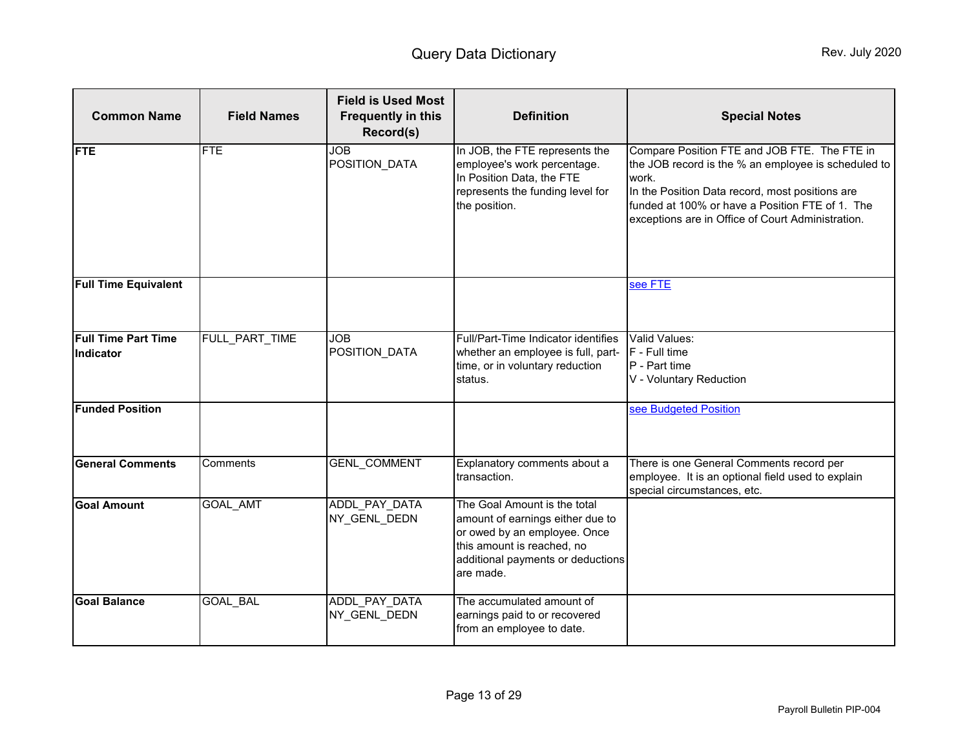<span id="page-12-1"></span><span id="page-12-0"></span>

| <b>Common Name</b>                      | <b>Field Names</b> | <b>Field is Used Most</b><br><b>Frequently in this</b><br>Record(s) | <b>Definition</b>                                                                                                                                                                | <b>Special Notes</b>                                                                                                                                                                                                                                                    |
|-----------------------------------------|--------------------|---------------------------------------------------------------------|----------------------------------------------------------------------------------------------------------------------------------------------------------------------------------|-------------------------------------------------------------------------------------------------------------------------------------------------------------------------------------------------------------------------------------------------------------------------|
| <b>FTE</b>                              | <b>FTE</b>         | <b>JOB</b><br>POSITION_DATA                                         | In JOB, the FTE represents the<br>employee's work percentage.<br>In Position Data, the FTE<br>represents the funding level for<br>the position.                                  | Compare Position FTE and JOB FTE. The FTE in<br>the JOB record is the % an employee is scheduled to<br>work.<br>In the Position Data record, most positions are<br>funded at 100% or have a Position FTE of 1. The<br>exceptions are in Office of Court Administration. |
| <b>Full Time Equivalent</b>             |                    |                                                                     |                                                                                                                                                                                  | see FTE                                                                                                                                                                                                                                                                 |
| <b>Full Time Part Time</b><br>Indicator | FULL PART TIME     | <b>JOB</b><br>POSITION_DATA                                         | Full/Part-Time Indicator identifies<br>whether an employee is full, part-<br>time, or in voluntary reduction<br>status.                                                          | Valid Values:<br>F - Full time<br>P - Part time<br>V - Voluntary Reduction                                                                                                                                                                                              |
| <b>Funded Position</b>                  |                    |                                                                     |                                                                                                                                                                                  | see Budgeted Position                                                                                                                                                                                                                                                   |
| <b>General Comments</b>                 | Comments           | GENL_COMMENT                                                        | Explanatory comments about a<br>transaction.                                                                                                                                     | There is one General Comments record per<br>employee. It is an optional field used to explain<br>special circumstances, etc.                                                                                                                                            |
| <b>Goal Amount</b>                      | <b>GOAL AMT</b>    | ADDL PAY DATA<br>NY_GENL_DEDN                                       | The Goal Amount is the total<br>amount of earnings either due to<br>or owed by an employee. Once<br>this amount is reached, no<br>additional payments or deductions<br>are made. |                                                                                                                                                                                                                                                                         |
| <b>Goal Balance</b>                     | GOAL_BAL           | ADDL PAY DATA<br>NY_GENL_DEDN                                       | The accumulated amount of<br>earnings paid to or recovered<br>from an employee to date.                                                                                          |                                                                                                                                                                                                                                                                         |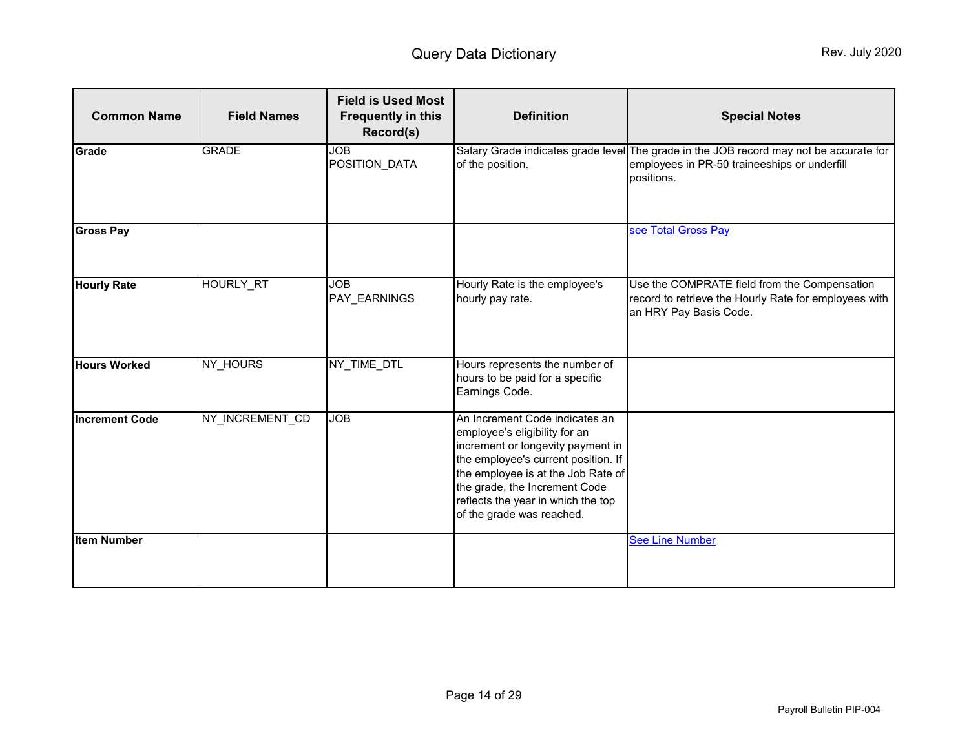| <b>Common Name</b>    | <b>Field Names</b> | <b>Field is Used Most</b><br><b>Frequently in this</b><br>Record(s) | <b>Definition</b>                                                                                                                                                                                                                                                                     | <b>Special Notes</b>                                                                                                                                 |
|-----------------------|--------------------|---------------------------------------------------------------------|---------------------------------------------------------------------------------------------------------------------------------------------------------------------------------------------------------------------------------------------------------------------------------------|------------------------------------------------------------------------------------------------------------------------------------------------------|
| Grade                 | <b>GRADE</b>       | <b>JOB</b><br>POSITION_DATA                                         | of the position.                                                                                                                                                                                                                                                                      | Salary Grade indicates grade level The grade in the JOB record may not be accurate for<br>employees in PR-50 traineeships or underfill<br>positions. |
| <b>Gross Pay</b>      |                    |                                                                     |                                                                                                                                                                                                                                                                                       | see Total Gross Pay                                                                                                                                  |
| <b>Hourly Rate</b>    | <b>HOURLY RT</b>   | <b>JOB</b><br>PAY_EARNINGS                                          | Hourly Rate is the employee's<br>hourly pay rate.                                                                                                                                                                                                                                     | Use the COMPRATE field from the Compensation<br>record to retrieve the Hourly Rate for employees with<br>an HRY Pay Basis Code.                      |
| <b>Hours Worked</b>   | NY_HOURS           | NY_TIME_DTL                                                         | Hours represents the number of<br>hours to be paid for a specific<br>Earnings Code.                                                                                                                                                                                                   |                                                                                                                                                      |
| <b>Increment Code</b> | NY_INCREMENT_CD    | <b>JOB</b>                                                          | An Increment Code indicates an<br>employee's eligibility for an<br>increment or longevity payment in<br>the employee's current position. If<br>the employee is at the Job Rate of<br>the grade, the Increment Code<br>reflects the year in which the top<br>of the grade was reached. |                                                                                                                                                      |
| <b>Item Number</b>    |                    |                                                                     |                                                                                                                                                                                                                                                                                       | <b>See Line Number</b>                                                                                                                               |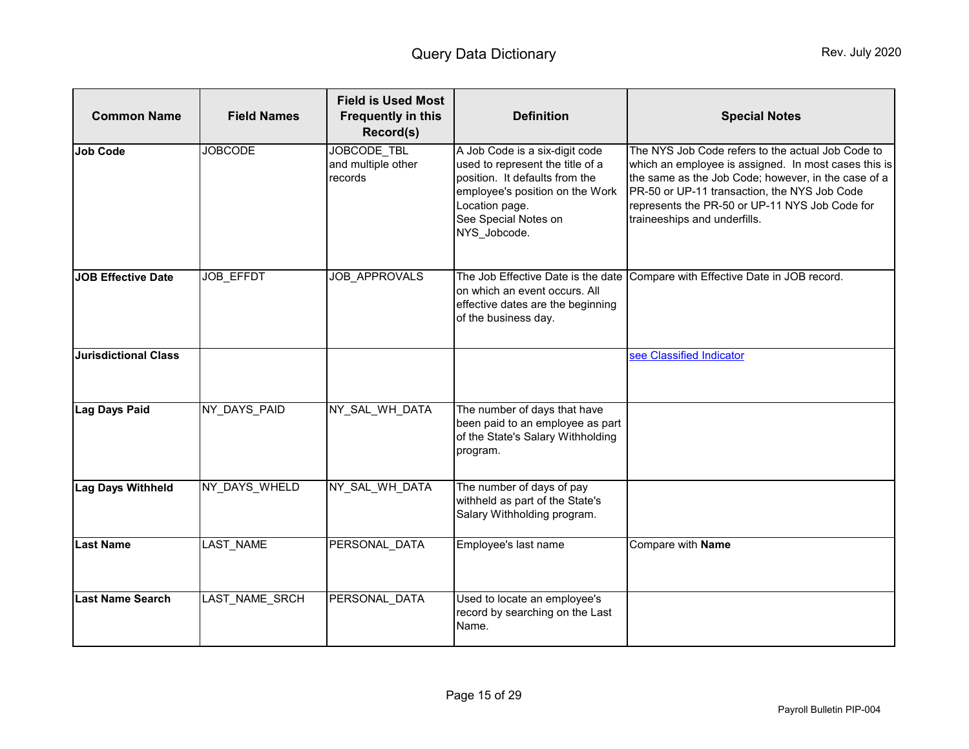<span id="page-14-0"></span>

| <b>Common Name</b>          | <b>Field Names</b> | <b>Field is Used Most</b><br><b>Frequently in this</b><br>Record(s) | <b>Definition</b>                                                                                                                                                                                 | <b>Special Notes</b>                                                                                                                                                                                                                                                                               |
|-----------------------------|--------------------|---------------------------------------------------------------------|---------------------------------------------------------------------------------------------------------------------------------------------------------------------------------------------------|----------------------------------------------------------------------------------------------------------------------------------------------------------------------------------------------------------------------------------------------------------------------------------------------------|
| <b>Job Code</b>             | <b>JOBCODE</b>     | JOBCODE TBL<br>and multiple other<br>records                        | A Job Code is a six-digit code<br>used to represent the title of a<br>position. It defaults from the<br>employee's position on the Work<br>Location page.<br>See Special Notes on<br>NYS Jobcode. | The NYS Job Code refers to the actual Job Code to<br>which an employee is assigned. In most cases this is<br>the same as the Job Code; however, in the case of a<br>PR-50 or UP-11 transaction, the NYS Job Code<br>represents the PR-50 or UP-11 NYS Job Code for<br>traineeships and underfills. |
| <b>JOB</b> Effective Date   | <b>JOB EFFDT</b>   | <b>JOB APPROVALS</b>                                                | The Job Effective Date is the date<br>on which an event occurs. All<br>effective dates are the beginning<br>of the business day.                                                                  | Compare with Effective Date in JOB record.                                                                                                                                                                                                                                                         |
| <b>Jurisdictional Class</b> |                    |                                                                     |                                                                                                                                                                                                   | see Classified Indicator                                                                                                                                                                                                                                                                           |
| Lag Days Paid               | NY_DAYS_PAID       | NY_SAL_WH_DATA                                                      | The number of days that have<br>been paid to an employee as part<br>of the State's Salary Withholding<br>program.                                                                                 |                                                                                                                                                                                                                                                                                                    |
| <b>Lag Days Withheld</b>    | NY_DAYS_WHELD      | NY_SAL_WH_DATA                                                      | The number of days of pay<br>withheld as part of the State's<br>Salary Withholding program.                                                                                                       |                                                                                                                                                                                                                                                                                                    |
| <b>Last Name</b>            | LAST_NAME          | PERSONAL DATA                                                       | Employee's last name                                                                                                                                                                              | Compare with Name                                                                                                                                                                                                                                                                                  |
| <b>Last Name Search</b>     | LAST NAME SRCH     | PERSONAL DATA                                                       | Used to locate an employee's<br>record by searching on the Last<br>Name.                                                                                                                          |                                                                                                                                                                                                                                                                                                    |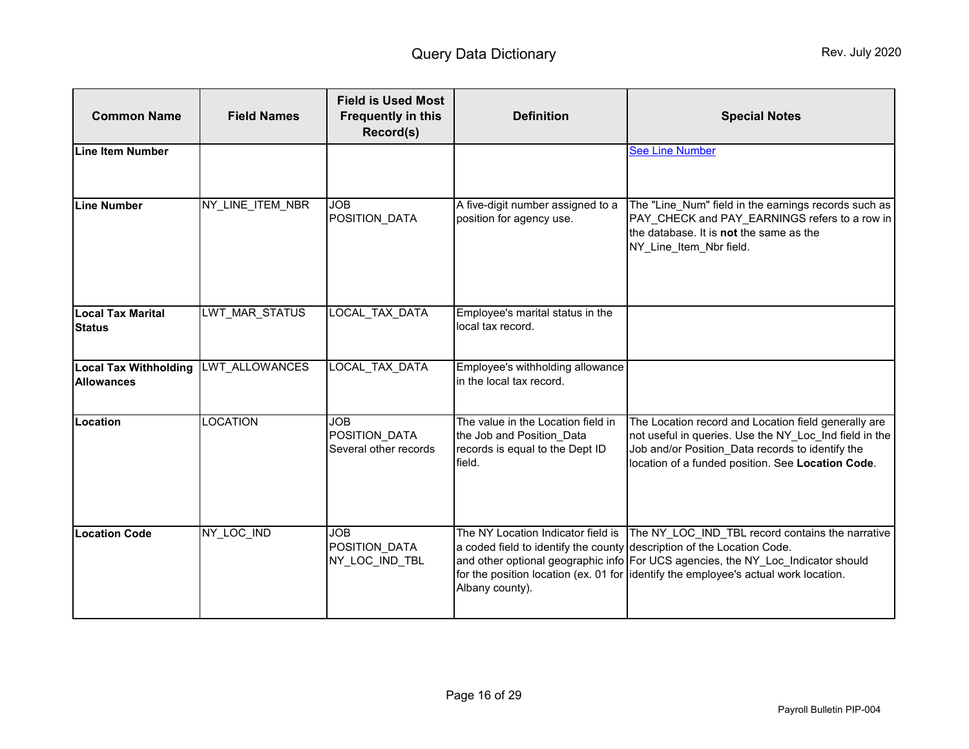<span id="page-15-1"></span><span id="page-15-0"></span>

| <b>Common Name</b>                                | <b>Field Names</b> | <b>Field is Used Most</b><br><b>Frequently in this</b><br>Record(s) | <b>Definition</b>                                                                                                               | <b>Special Notes</b>                                                                                                                                                                                                        |
|---------------------------------------------------|--------------------|---------------------------------------------------------------------|---------------------------------------------------------------------------------------------------------------------------------|-----------------------------------------------------------------------------------------------------------------------------------------------------------------------------------------------------------------------------|
| <b>Line Item Number</b>                           |                    |                                                                     |                                                                                                                                 | <b>See Line Number</b>                                                                                                                                                                                                      |
| <b>Line Number</b>                                | NY LINE ITEM NBR   | <b>JOB</b><br>POSITION_DATA                                         | A five-digit number assigned to a<br>position for agency use.                                                                   | The "Line_Num" field in the earnings records such as<br>PAY_CHECK and PAY_EARNINGS refers to a row in<br>the database. It is not the same as the<br>NY_Line_Item_Nbr field.                                                 |
| <b>Local Tax Marital</b><br><b>Status</b>         | LWT MAR STATUS     | <b>LOCAL TAX DATA</b>                                               | Employee's marital status in the<br>local tax record.                                                                           |                                                                                                                                                                                                                             |
| <b>Local Tax Withholding</b><br><b>Allowances</b> | LWT_ALLOWANCES     | LOCAL_TAX_DATA                                                      | Employee's withholding allowance<br>in the local tax record.                                                                    |                                                                                                                                                                                                                             |
| Location                                          | <b>LOCATION</b>    | <b>JOB</b><br>POSITION DATA<br>Several other records                | The value in the Location field in<br>the Job and Position Data<br>records is equal to the Dept ID<br>field.                    | The Location record and Location field generally are<br>not useful in queries. Use the NY_Loc_Ind field in the<br>Job and/or Position Data records to identify the<br>location of a funded position. See Location Code.     |
| <b>Location Code</b>                              | NY_LOC_IND         | <b>JOB</b><br>POSITION_DATA<br>NY_LOC_IND_TBL                       | The NY Location Indicator field is<br>a coded field to identify the county description of the Location Code.<br>Albany county). | The NY LOC IND TBL record contains the narrative<br>and other optional geographic info For UCS agencies, the NY_Loc_Indicator should<br>for the position location (ex. 01 for identify the employee's actual work location. |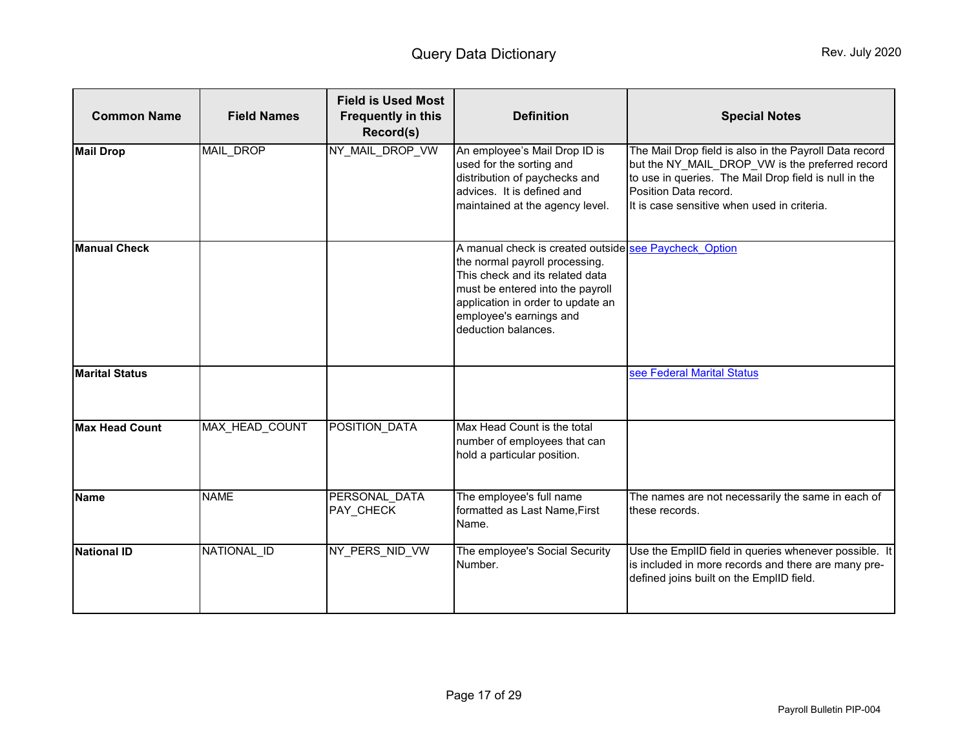<span id="page-16-0"></span>

| <b>Common Name</b>    | <b>Field Names</b>    | <b>Field is Used Most</b><br><b>Frequently in this</b><br>Record(s) | <b>Definition</b>                                                                                                                                                                                                                                     | <b>Special Notes</b>                                                                                                                                                                                                                       |
|-----------------------|-----------------------|---------------------------------------------------------------------|-------------------------------------------------------------------------------------------------------------------------------------------------------------------------------------------------------------------------------------------------------|--------------------------------------------------------------------------------------------------------------------------------------------------------------------------------------------------------------------------------------------|
| <b>Mail Drop</b>      | MAIL DROP             | NY MAIL DROP VW                                                     | An employee's Mail Drop ID is<br>used for the sorting and<br>distribution of paychecks and<br>advices. It is defined and<br>maintained at the agency level.                                                                                           | The Mail Drop field is also in the Payroll Data record<br>but the NY_MAIL_DROP_VW is the preferred record<br>to use in queries. The Mail Drop field is null in the<br>Position Data record.<br>It is case sensitive when used in criteria. |
| <b>Manual Check</b>   |                       |                                                                     | A manual check is created outside see Paycheck Option<br>the normal payroll processing.<br>This check and its related data<br>must be entered into the payroll<br>application in order to update an<br>employee's earnings and<br>deduction balances. |                                                                                                                                                                                                                                            |
| <b>Marital Status</b> |                       |                                                                     |                                                                                                                                                                                                                                                       | see Federal Marital Status                                                                                                                                                                                                                 |
| <b>Max Head Count</b> | <b>MAX HEAD COUNT</b> | POSITION DATA                                                       | Max Head Count is the total<br>number of employees that can<br>hold a particular position.                                                                                                                                                            |                                                                                                                                                                                                                                            |
| <b>Name</b>           | <b>NAME</b>           | PERSONAL DATA<br>PAY_CHECK                                          | The employee's full name<br>formatted as Last Name, First<br>Name.                                                                                                                                                                                    | The names are not necessarily the same in each of<br>these records.                                                                                                                                                                        |
| <b>National ID</b>    | NATIONAL_ID           | NY_PERS_NID_VW                                                      | The employee's Social Security<br>Number.                                                                                                                                                                                                             | Use the EmpIID field in queries whenever possible. It<br>is included in more records and there are many pre-<br>defined joins built on the EmpIID field.                                                                                   |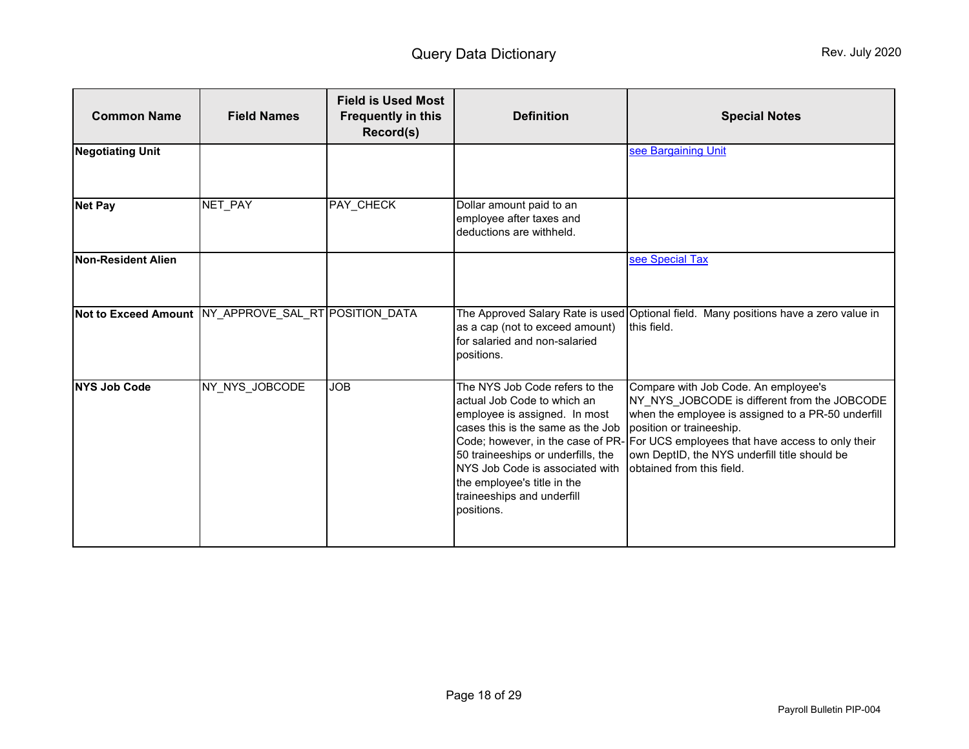<span id="page-17-0"></span>

| <b>Common Name</b>        | <b>Field Names</b>                                       | <b>Field is Used Most</b><br><b>Frequently in this</b><br>Record(s) | <b>Definition</b>                                                                                                                                                                                                                                                                       | <b>Special Notes</b>                                                                                                                                                                                                                                                                                                                       |
|---------------------------|----------------------------------------------------------|---------------------------------------------------------------------|-----------------------------------------------------------------------------------------------------------------------------------------------------------------------------------------------------------------------------------------------------------------------------------------|--------------------------------------------------------------------------------------------------------------------------------------------------------------------------------------------------------------------------------------------------------------------------------------------------------------------------------------------|
| <b>Negotiating Unit</b>   |                                                          |                                                                     |                                                                                                                                                                                                                                                                                         | see Bargaining Unit                                                                                                                                                                                                                                                                                                                        |
| <b>Net Pay</b>            | NET_PAY                                                  | PAY_CHECK                                                           | Dollar amount paid to an<br>employee after taxes and<br>deductions are withheld.                                                                                                                                                                                                        |                                                                                                                                                                                                                                                                                                                                            |
| <b>Non-Resident Alien</b> |                                                          |                                                                     |                                                                                                                                                                                                                                                                                         | see Special Tax                                                                                                                                                                                                                                                                                                                            |
|                           | Not to Exceed Amount   NY_APPROVE_SAL_RT   POSITION_DATA |                                                                     | as a cap (not to exceed amount)<br>for salaried and non-salaried<br>positions.                                                                                                                                                                                                          | The Approved Salary Rate is used Optional field. Many positions have a zero value in<br>this field.                                                                                                                                                                                                                                        |
| <b>NYS Job Code</b>       | NY NYS JOBCODE                                           | <b>JOB</b>                                                          | The NYS Job Code refers to the<br>actual Job Code to which an<br>employee is assigned. In most<br>cases this is the same as the Job<br>50 traineeships or underfills, the<br>NYS Job Code is associated with<br>the employee's title in the<br>traineeships and underfill<br>positions. | Compare with Job Code. An employee's<br>NY NYS JOBCODE is different from the JOBCODE<br>when the employee is assigned to a PR-50 underfill<br>position or traineeship.<br>Code; however, in the case of PR- For UCS employees that have access to only their<br>own DeptID, the NYS underfill title should be<br>obtained from this field. |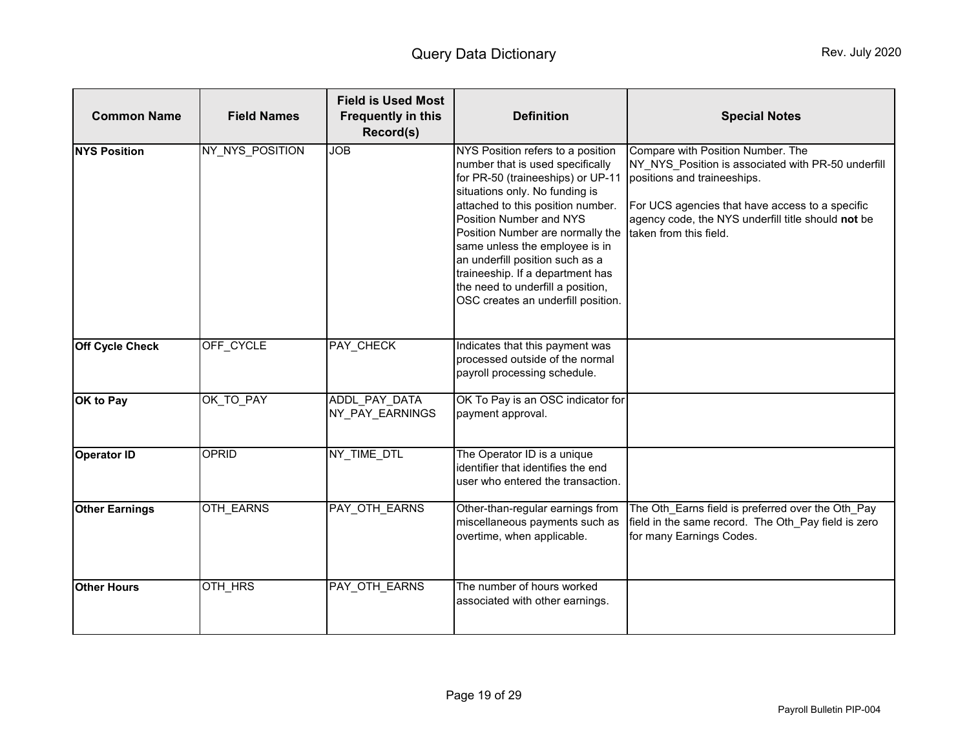<span id="page-18-1"></span><span id="page-18-0"></span>

| <b>Common Name</b>     | <b>Field Names</b> | <b>Field is Used Most</b><br><b>Frequently in this</b><br>Record(s) | <b>Definition</b>                                                                                                                                                                                                                                                                                                                                                                                                                    | <b>Special Notes</b>                                                                                                                                                                                                                                      |
|------------------------|--------------------|---------------------------------------------------------------------|--------------------------------------------------------------------------------------------------------------------------------------------------------------------------------------------------------------------------------------------------------------------------------------------------------------------------------------------------------------------------------------------------------------------------------------|-----------------------------------------------------------------------------------------------------------------------------------------------------------------------------------------------------------------------------------------------------------|
| <b>NYS Position</b>    | NY_NYS_POSITION    | <b>JOB</b>                                                          | NYS Position refers to a position<br>number that is used specifically<br>for PR-50 (traineeships) or UP-11<br>situations only. No funding is<br>attached to this position number.<br>Position Number and NYS<br>Position Number are normally the<br>same unless the employee is in<br>an underfill position such as a<br>traineeship. If a department has<br>the need to underfill a position,<br>OSC creates an underfill position. | Compare with Position Number. The<br>NY NYS Position is associated with PR-50 underfill<br>positions and traineeships.<br>For UCS agencies that have access to a specific<br>agency code, the NYS underfill title should not be<br>taken from this field. |
| <b>Off Cycle Check</b> | OFF CYCLE          | PAY_CHECK                                                           | Indicates that this payment was<br>processed outside of the normal<br>payroll processing schedule.                                                                                                                                                                                                                                                                                                                                   |                                                                                                                                                                                                                                                           |
| OK to Pay              | OK TO PAY          | ADDL PAY DATA<br>NY_PAY_EARNINGS                                    | OK To Pay is an OSC indicator for<br>payment approval.                                                                                                                                                                                                                                                                                                                                                                               |                                                                                                                                                                                                                                                           |
| <b>Operator ID</b>     | OPRID              | NY_TIME_DTL                                                         | The Operator ID is a unique<br>identifier that identifies the end<br>user who entered the transaction.                                                                                                                                                                                                                                                                                                                               |                                                                                                                                                                                                                                                           |
| <b>Other Earnings</b>  | <b>OTH EARNS</b>   | PAY OTH EARNS                                                       | Other-than-regular earnings from<br>miscellaneous payments such as<br>overtime, when applicable.                                                                                                                                                                                                                                                                                                                                     | The Oth Earns field is preferred over the Oth Pay<br>field in the same record. The Oth_Pay field is zero<br>for many Earnings Codes.                                                                                                                      |
| <b>Other Hours</b>     | OTH_HRS            | PAY_OTH_EARNS                                                       | The number of hours worked<br>associated with other earnings.                                                                                                                                                                                                                                                                                                                                                                        |                                                                                                                                                                                                                                                           |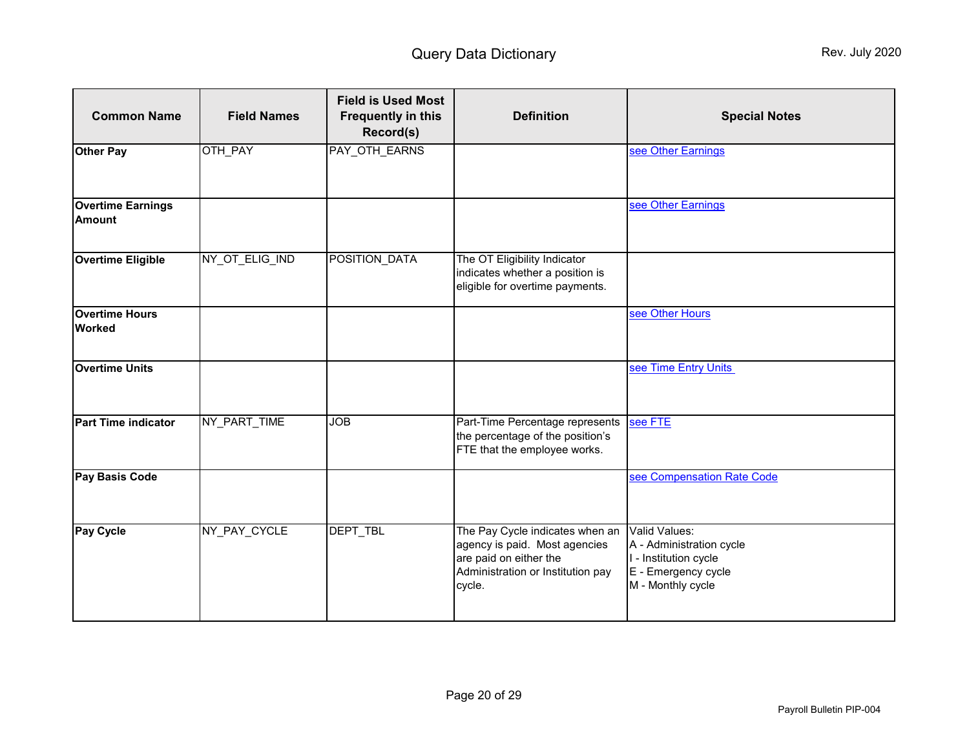<span id="page-19-0"></span>

| <b>Common Name</b>                        | <b>Field Names</b> | <b>Field is Used Most</b><br><b>Frequently in this</b><br>Record(s) | <b>Definition</b>                                                                                                                         | <b>Special Notes</b>                                                                                           |
|-------------------------------------------|--------------------|---------------------------------------------------------------------|-------------------------------------------------------------------------------------------------------------------------------------------|----------------------------------------------------------------------------------------------------------------|
| <b>Other Pay</b>                          | OTH_PAY            | PAY_OTH_EARNS                                                       |                                                                                                                                           | see Other Earnings                                                                                             |
| <b>Overtime Earnings</b><br><b>Amount</b> |                    |                                                                     |                                                                                                                                           | see Other Earnings                                                                                             |
| <b>Overtime Eligible</b>                  | NY_OT_ELIG_IND     | POSITION_DATA                                                       | The OT Eligibility Indicator<br>indicates whether a position is<br>eligible for overtime payments.                                        |                                                                                                                |
| <b>Overtime Hours</b><br><b>Worked</b>    |                    |                                                                     |                                                                                                                                           | see Other Hours                                                                                                |
| <b>Overtime Units</b>                     |                    |                                                                     |                                                                                                                                           | see Time Entry Units                                                                                           |
| <b>Part Time indicator</b>                | NY_PART_TIME       | <b>JOB</b>                                                          | Part-Time Percentage represents<br>the percentage of the position's<br>FTE that the employee works.                                       | see FTE                                                                                                        |
| <b>Pay Basis Code</b>                     |                    |                                                                     |                                                                                                                                           | see Compensation Rate Code                                                                                     |
| Pay Cycle                                 | NY_PAY_CYCLE       | DEPT_TBL                                                            | The Pay Cycle indicates when an<br>agency is paid. Most agencies<br>are paid on either the<br>Administration or Institution pay<br>cycle. | Valid Values:<br>A - Administration cycle<br>I - Institution cycle<br>E - Emergency cycle<br>M - Monthly cycle |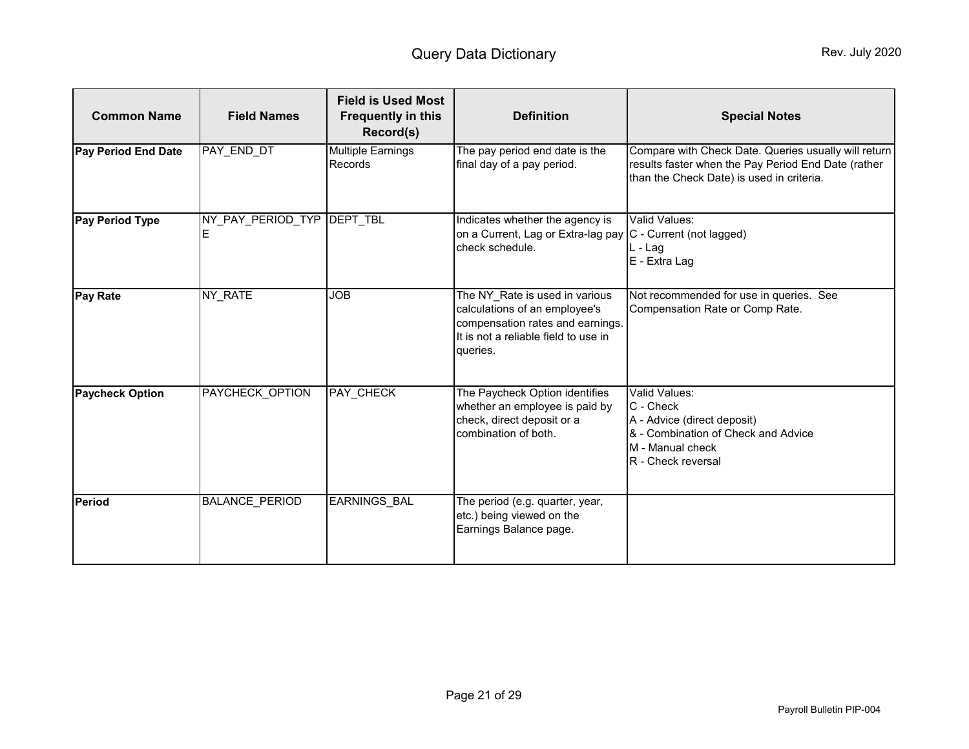<span id="page-20-0"></span>

| <b>Common Name</b>         | <b>Field Names</b>     | <b>Field is Used Most</b><br><b>Frequently in this</b><br>Record(s) | <b>Definition</b>                                                                                                                                       | <b>Special Notes</b>                                                                                                                                     |
|----------------------------|------------------------|---------------------------------------------------------------------|---------------------------------------------------------------------------------------------------------------------------------------------------------|----------------------------------------------------------------------------------------------------------------------------------------------------------|
| <b>Pay Period End Date</b> | PAY END DT             | <b>Multiple Earnings</b><br>Records                                 | The pay period end date is the<br>final day of a pay period.                                                                                            | Compare with Check Date. Queries usually will return<br>results faster when the Pay Period End Date (rather<br>than the Check Date) is used in criteria. |
| <b>Pay Period Type</b>     | NY PAY PERIOD TYP<br>Е | <b>DEPT TBL</b>                                                     | Indicates whether the agency is<br>on a Current, Lag or Extra-lag pay C - Current (not lagged)<br>check schedule.                                       | Valid Values:<br>L-Lag<br>E - Extra Lag                                                                                                                  |
| <b>Pay Rate</b>            | NY RATE                | <b>JOB</b>                                                          | The NY_Rate is used in various<br>calculations of an employee's<br>compensation rates and earnings.<br>It is not a reliable field to use in<br>queries. | Not recommended for use in queries. See<br>Compensation Rate or Comp Rate.                                                                               |
| <b>Paycheck Option</b>     | PAYCHECK OPTION        | PAY_CHECK                                                           | The Paycheck Option identifies<br>whether an employee is paid by<br>check, direct deposit or a<br>combination of both.                                  | Valid Values:<br>C - Check<br>A - Advice (direct deposit)<br>& - Combination of Check and Advice<br>M - Manual check<br>R - Check reversal               |
| <b>Period</b>              | <b>BALANCE PERIOD</b>  | EARNINGS_BAL                                                        | The period (e.g. quarter, year,<br>etc.) being viewed on the<br>Earnings Balance page.                                                                  |                                                                                                                                                          |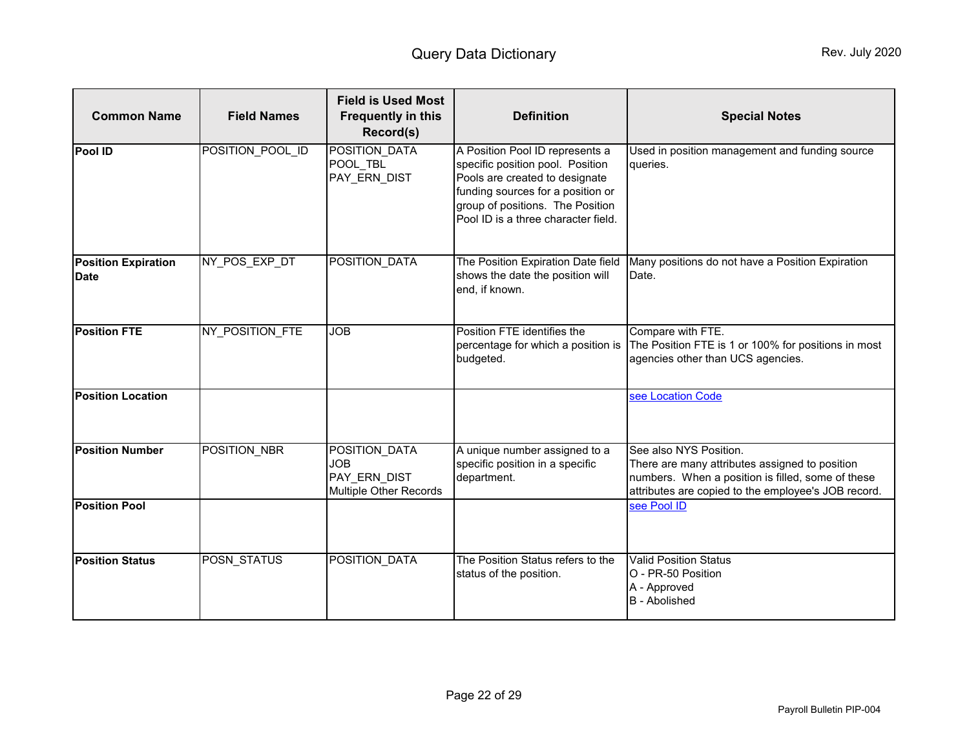<span id="page-21-0"></span>

| <b>Common Name</b>                        | <b>Field Names</b> | <b>Field is Used Most</b><br><b>Frequently in this</b><br>Record(s)   | <b>Definition</b>                                                                                                                                                                                                     | <b>Special Notes</b>                                                                                                                                                                 |
|-------------------------------------------|--------------------|-----------------------------------------------------------------------|-----------------------------------------------------------------------------------------------------------------------------------------------------------------------------------------------------------------------|--------------------------------------------------------------------------------------------------------------------------------------------------------------------------------------|
| <b>Pool ID</b>                            | POSITION_POOL_ID   | POSITION DATA<br>POOL TBL<br>PAY ERN DIST                             | A Position Pool ID represents a<br>specific position pool. Position<br>Pools are created to designate<br>funding sources for a position or<br>group of positions. The Position<br>Pool ID is a three character field. | Used in position management and funding source<br>queries.                                                                                                                           |
| <b>Position Expiration</b><br><b>Date</b> | NY POS EXP DT      | POSITION DATA                                                         | The Position Expiration Date field<br>shows the date the position will<br>end, if known.                                                                                                                              | Many positions do not have a Position Expiration<br>Date.                                                                                                                            |
| <b>Position FTE</b>                       | NY POSITION FTE    | <b>JOB</b>                                                            | Position FTE identifies the<br>percentage for which a position is<br>budgeted.                                                                                                                                        | Compare with FTE.<br>The Position FTE is 1 or 100% for positions in most<br>agencies other than UCS agencies.                                                                        |
| <b>Position Location</b>                  |                    |                                                                       |                                                                                                                                                                                                                       | see Location Code                                                                                                                                                                    |
| <b>Position Number</b>                    | POSITION_NBR       | POSITION_DATA<br><b>JOB</b><br>PAY_ERN_DIST<br>Multiple Other Records | A unique number assigned to a<br>specific position in a specific<br>department.                                                                                                                                       | See also NYS Position.<br>There are many attributes assigned to position<br>numbers. When a position is filled, some of these<br>attributes are copied to the employee's JOB record. |
| <b>Position Pool</b>                      |                    |                                                                       |                                                                                                                                                                                                                       | see Pool ID                                                                                                                                                                          |
| <b>Position Status</b>                    | <b>POSN STATUS</b> | POSITION DATA                                                         | The Position Status refers to the<br>status of the position.                                                                                                                                                          | <b>Valid Position Status</b><br>O - PR-50 Position<br>A - Approved<br><b>B</b> - Abolished                                                                                           |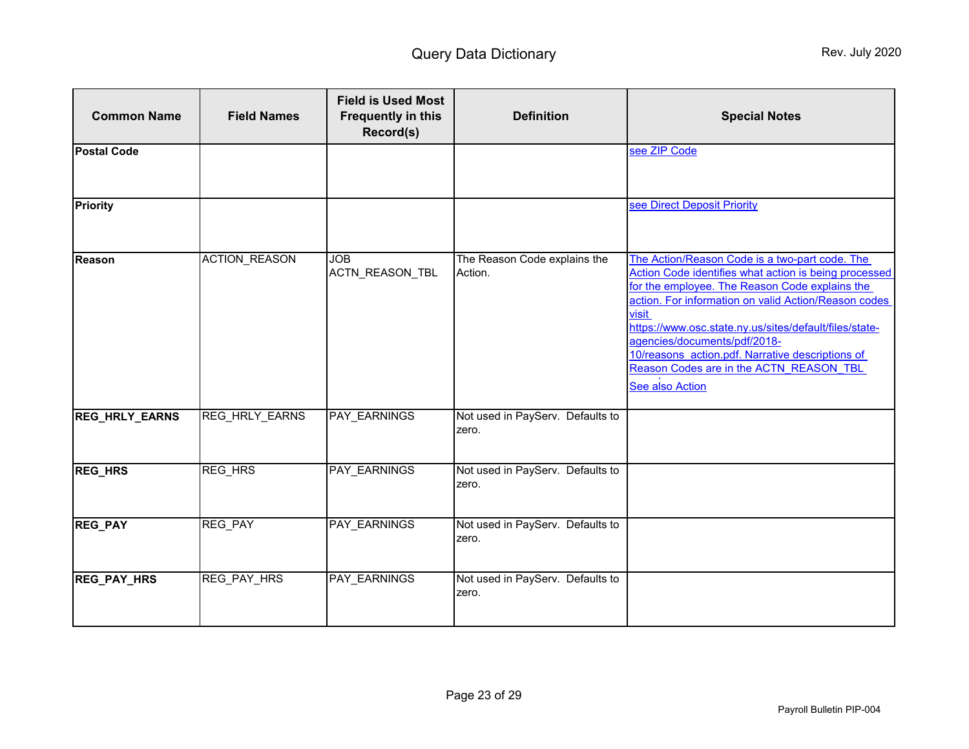<span id="page-22-0"></span>

| <b>Common Name</b>    | <b>Field Names</b>   | <b>Field is Used Most</b><br><b>Frequently in this</b><br>Record(s) | <b>Definition</b>                         | <b>Special Notes</b>                                                                                                                                                                                                                                                                                                                                                                                                                   |
|-----------------------|----------------------|---------------------------------------------------------------------|-------------------------------------------|----------------------------------------------------------------------------------------------------------------------------------------------------------------------------------------------------------------------------------------------------------------------------------------------------------------------------------------------------------------------------------------------------------------------------------------|
| <b>Postal Code</b>    |                      |                                                                     |                                           | see ZIP Code                                                                                                                                                                                                                                                                                                                                                                                                                           |
| <b>Priority</b>       |                      |                                                                     |                                           | see Direct Deposit Priority                                                                                                                                                                                                                                                                                                                                                                                                            |
| <b>Reason</b>         | <b>ACTION REASON</b> | <b>JOB</b><br>ACTN_REASON_TBL                                       | The Reason Code explains the<br>Action.   | The Action/Reason Code is a two-part code. The<br>Action Code identifies what action is being processed<br>for the employee. The Reason Code explains the<br>action. For information on valid Action/Reason codes<br>visit<br>https://www.osc.state.ny.us/sites/default/files/state-<br>agencies/documents/pdf/2018-<br>10/reasons action.pdf. Narrative descriptions of<br>Reason Codes are in the ACTN REASON TBL<br>See also Action |
| <b>REG_HRLY_EARNS</b> | REG_HRLY_EARNS       | PAY_EARNINGS                                                        | Not used in PayServ. Defaults to<br>zero. |                                                                                                                                                                                                                                                                                                                                                                                                                                        |
| <b>REG_HRS</b>        | <b>REG_HRS</b>       | PAY_EARNINGS                                                        | Not used in PayServ. Defaults to<br>zero. |                                                                                                                                                                                                                                                                                                                                                                                                                                        |
| <b>REG_PAY</b>        | REG_PAY              | PAY_EARNINGS                                                        | Not used in PayServ. Defaults to<br>zero. |                                                                                                                                                                                                                                                                                                                                                                                                                                        |
| <b>REG_PAY_HRS</b>    | REG_PAY_HRS          | PAY_EARNINGS                                                        | Not used in PayServ. Defaults to<br>zero. |                                                                                                                                                                                                                                                                                                                                                                                                                                        |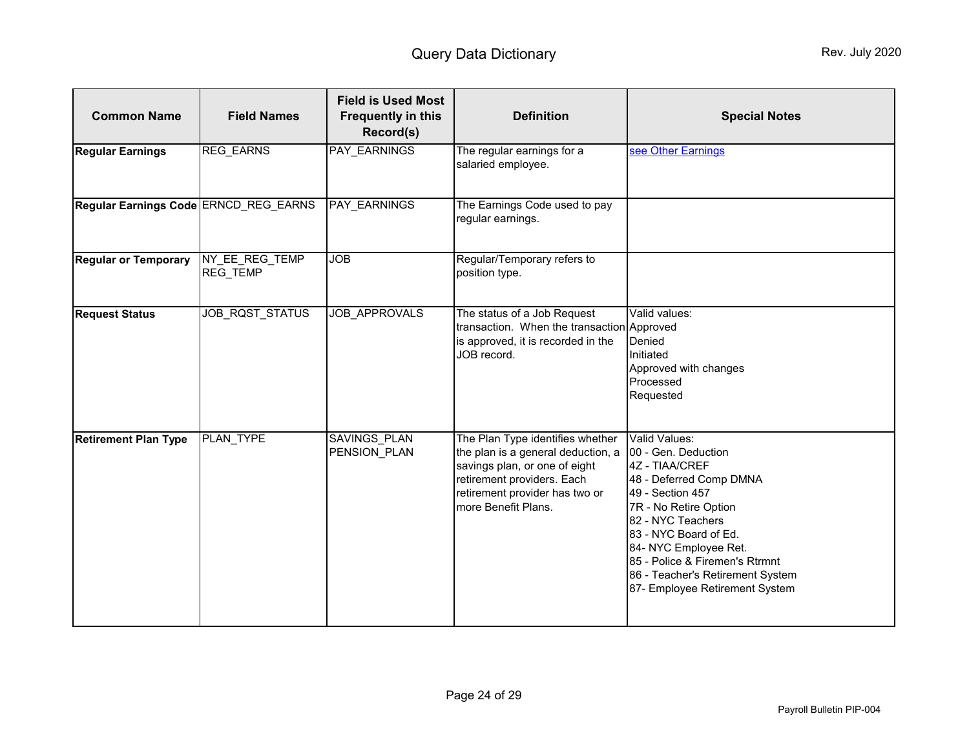<span id="page-23-0"></span>

| <b>Common Name</b>                    | <b>Field Names</b>                | <b>Field is Used Most</b><br><b>Frequently in this</b><br>Record(s) | <b>Definition</b>                                                                                                                                                                              | <b>Special Notes</b>                                                                                                                                                                                                                                                                                          |
|---------------------------------------|-----------------------------------|---------------------------------------------------------------------|------------------------------------------------------------------------------------------------------------------------------------------------------------------------------------------------|---------------------------------------------------------------------------------------------------------------------------------------------------------------------------------------------------------------------------------------------------------------------------------------------------------------|
| <b>Regular Earnings</b>               | <b>REG_EARNS</b>                  | PAY_EARNINGS                                                        | The regular earnings for a<br>salaried employee.                                                                                                                                               | see Other Earnings                                                                                                                                                                                                                                                                                            |
| Regular Earnings Code ERNCD_REG_EARNS |                                   | PAY_EARNINGS                                                        | The Earnings Code used to pay<br>regular earnings.                                                                                                                                             |                                                                                                                                                                                                                                                                                                               |
| <b>Regular or Temporary</b>           | NY_EE_REG_TEMP<br><b>REG TEMP</b> | <b>JOB</b>                                                          | Regular/Temporary refers to<br>position type.                                                                                                                                                  |                                                                                                                                                                                                                                                                                                               |
| <b>Request Status</b>                 | JOB_RQST_STATUS                   | JOB_APPROVALS                                                       | The status of a Job Request<br>transaction. When the transaction Approved<br>is approved, it is recorded in the<br>JOB record.                                                                 | Valid values:<br>Denied<br>Initiated<br>Approved with changes<br>Processed<br>Requested                                                                                                                                                                                                                       |
| <b>Retirement Plan Type</b>           | PLAN TYPE                         | <b>SAVINGS PLAN</b><br>PENSION_PLAN                                 | The Plan Type identifies whether<br>the plan is a general deduction, a<br>savings plan, or one of eight<br>retirement providers. Each<br>retirement provider has two or<br>more Benefit Plans. | Valid Values:<br>00 - Gen. Deduction<br>4Z - TIAA/CREF<br>48 - Deferred Comp DMNA<br>49 - Section 457<br>7R - No Retire Option<br>82 - NYC Teachers<br>83 - NYC Board of Ed.<br>84- NYC Employee Ret.<br>85 - Police & Firemen's Rtrmnt<br>86 - Teacher's Retirement System<br>87- Employee Retirement System |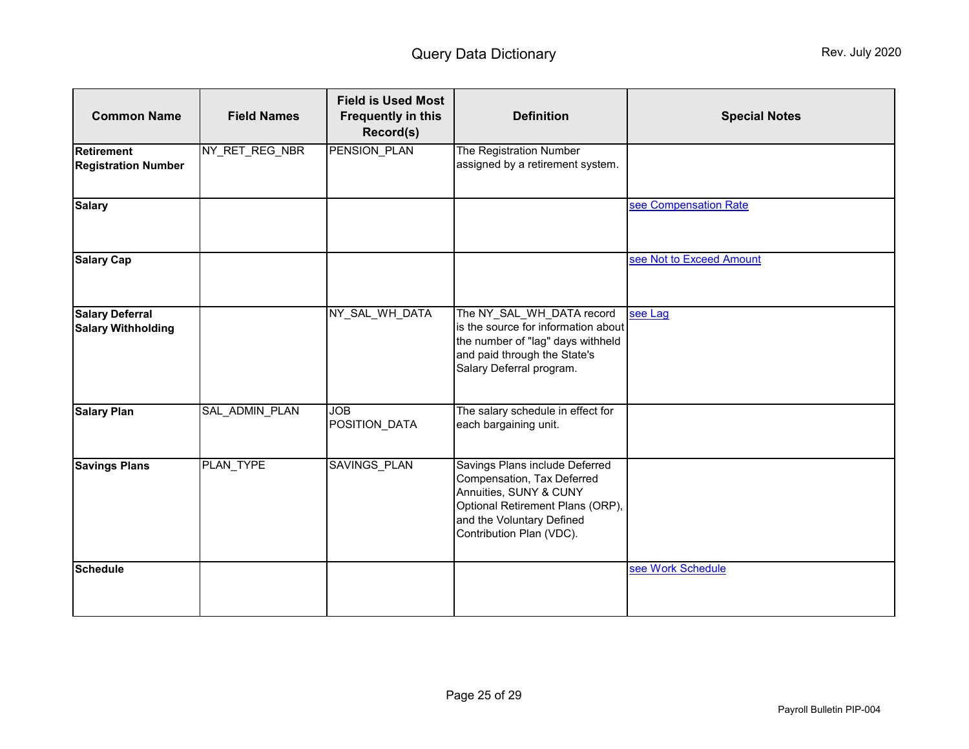| <b>Common Name</b>                                  | <b>Field Names</b> | <b>Field is Used Most</b><br><b>Frequently in this</b><br>Record(s) | <b>Definition</b>                                                                                                                                                                   | <b>Special Notes</b>     |
|-----------------------------------------------------|--------------------|---------------------------------------------------------------------|-------------------------------------------------------------------------------------------------------------------------------------------------------------------------------------|--------------------------|
| <b>Retirement</b><br><b>Registration Number</b>     | NY_RET_REG_NBR     | PENSION_PLAN                                                        | The Registration Number<br>assigned by a retirement system.                                                                                                                         |                          |
| <b>Salary</b>                                       |                    |                                                                     |                                                                                                                                                                                     | see Compensation Rate    |
| <b>Salary Cap</b>                                   |                    |                                                                     |                                                                                                                                                                                     | see Not to Exceed Amount |
| <b>Salary Deferral</b><br><b>Salary Withholding</b> |                    | NY_SAL_WH_DATA                                                      | The NY_SAL_WH_DATA record<br>is the source for information about<br>the number of "lag" days withheld<br>and paid through the State's<br>Salary Deferral program.                   | see Lag                  |
| <b>Salary Plan</b>                                  | SAL ADMIN PLAN     | <b>JOB</b><br>POSITION_DATA                                         | The salary schedule in effect for<br>each bargaining unit.                                                                                                                          |                          |
| <b>Savings Plans</b>                                | PLAN TYPE          | <b>SAVINGS PLAN</b>                                                 | Savings Plans include Deferred<br>Compensation, Tax Deferred<br>Annuities, SUNY & CUNY<br>Optional Retirement Plans (ORP),<br>and the Voluntary Defined<br>Contribution Plan (VDC). |                          |
| <b>Schedule</b>                                     |                    |                                                                     |                                                                                                                                                                                     | see Work Schedule        |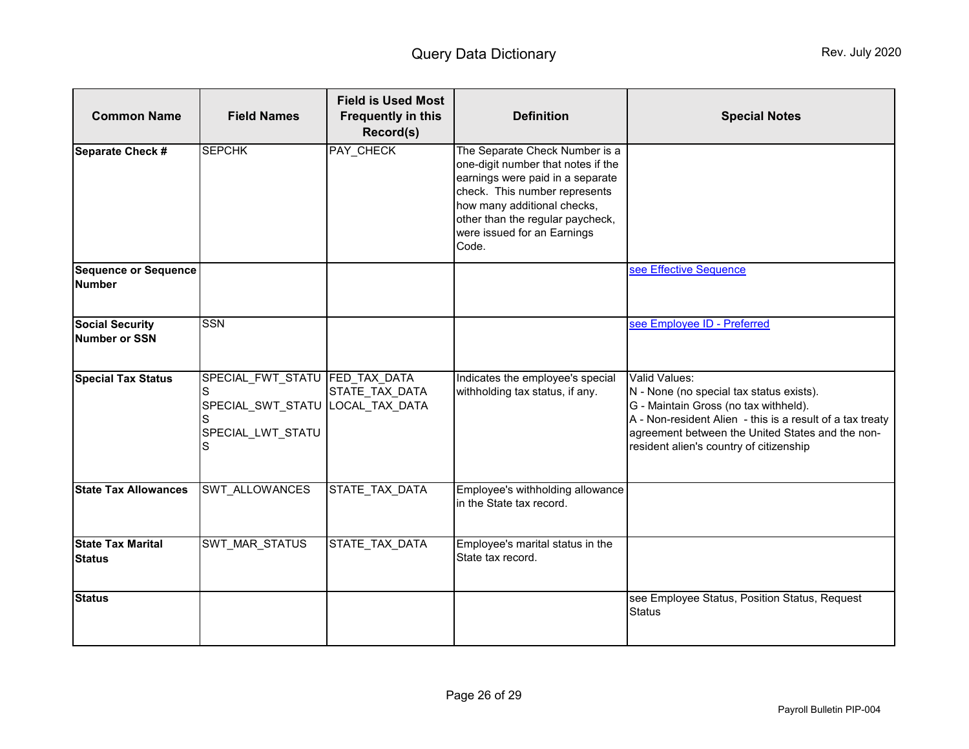<span id="page-25-0"></span>

| <b>Common Name</b>                           | <b>Field Names</b>                                                                                      | <b>Field is Used Most</b><br><b>Frequently in this</b><br>Record(s) | <b>Definition</b>                                                                                                                                                                                                                                    | <b>Special Notes</b>                                                                                                                                                                                                                                           |
|----------------------------------------------|---------------------------------------------------------------------------------------------------------|---------------------------------------------------------------------|------------------------------------------------------------------------------------------------------------------------------------------------------------------------------------------------------------------------------------------------------|----------------------------------------------------------------------------------------------------------------------------------------------------------------------------------------------------------------------------------------------------------------|
| Separate Check #                             | <b>SEPCHK</b>                                                                                           | PAY_CHECK                                                           | The Separate Check Number is a<br>one-digit number that notes if the<br>earnings were paid in a separate<br>check. This number represents<br>how many additional checks,<br>other than the regular paycheck,<br>were issued for an Earnings<br>Code. |                                                                                                                                                                                                                                                                |
| <b>Sequence or Sequence</b><br><b>Number</b> |                                                                                                         |                                                                     |                                                                                                                                                                                                                                                      | see Effective Sequence                                                                                                                                                                                                                                         |
| <b>Social Security</b><br>Number or SSN      | <b>SSN</b>                                                                                              |                                                                     |                                                                                                                                                                                                                                                      | see Employee ID - Preferred                                                                                                                                                                                                                                    |
| <b>Special Tax Status</b>                    | SPECIAL_FWT_STATU FED_TAX_DATA<br>S<br>SPECIAL_SWT_STATU  LOCAL_TAX_DATA<br>S<br>SPECIAL_LWT_STATU<br>S | STATE TAX DATA                                                      | Indicates the employee's special<br>withholding tax status, if any.                                                                                                                                                                                  | Valid Values:<br>N - None (no special tax status exists).<br>G - Maintain Gross (no tax withheld).<br>A - Non-resident Alien - this is a result of a tax treaty<br>agreement between the United States and the non-<br>resident alien's country of citizenship |
| <b>State Tax Allowances</b>                  | SWT_ALLOWANCES                                                                                          | STATE_TAX_DATA                                                      | Employee's withholding allowance<br>in the State tax record.                                                                                                                                                                                         |                                                                                                                                                                                                                                                                |
| <b>State Tax Marital</b><br><b>Status</b>    | <b>SWT MAR STATUS</b>                                                                                   | STATE TAX DATA                                                      | Employee's marital status in the<br>State tax record.                                                                                                                                                                                                |                                                                                                                                                                                                                                                                |
| <b>Status</b>                                |                                                                                                         |                                                                     |                                                                                                                                                                                                                                                      | see Employee Status, Position Status, Request<br><b>Status</b>                                                                                                                                                                                                 |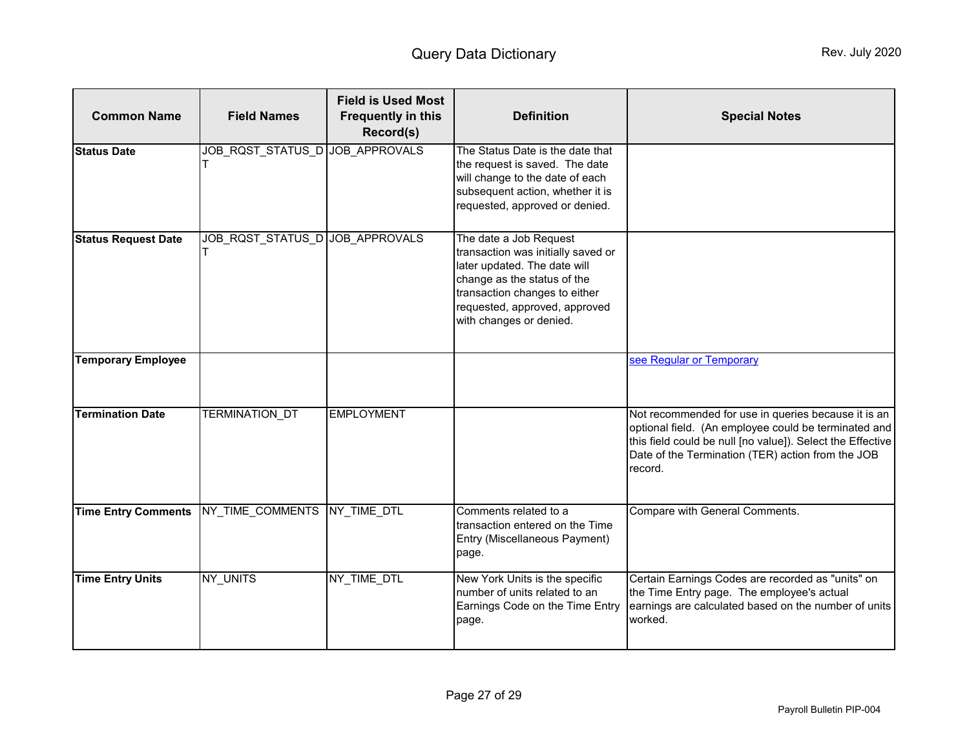<span id="page-26-1"></span><span id="page-26-0"></span>

| <b>Common Name</b>         | <b>Field Names</b>              | <b>Field is Used Most</b><br><b>Frequently in this</b><br>Record(s) | <b>Definition</b>                                                                                                                                                                                                        | <b>Special Notes</b>                                                                                                                                                                                                                      |
|----------------------------|---------------------------------|---------------------------------------------------------------------|--------------------------------------------------------------------------------------------------------------------------------------------------------------------------------------------------------------------------|-------------------------------------------------------------------------------------------------------------------------------------------------------------------------------------------------------------------------------------------|
| <b>Status Date</b>         | JOB_RQST_STATUS_D JOB_APPROVALS |                                                                     | The Status Date is the date that<br>the request is saved. The date<br>will change to the date of each<br>subsequent action, whether it is<br>requested, approved or denied.                                              |                                                                                                                                                                                                                                           |
| <b>Status Request Date</b> | JOB_RQST_STATUS_D JOB_APPROVALS |                                                                     | The date a Job Request<br>transaction was initially saved or<br>later updated. The date will<br>change as the status of the<br>transaction changes to either<br>requested, approved, approved<br>with changes or denied. |                                                                                                                                                                                                                                           |
| <b>Temporary Employee</b>  |                                 |                                                                     |                                                                                                                                                                                                                          | see Regular or Temporary                                                                                                                                                                                                                  |
| <b>Termination Date</b>    | <b>TERMINATION DT</b>           | <b>EMPLOYMENT</b>                                                   |                                                                                                                                                                                                                          | Not recommended for use in queries because it is an<br>optional field. (An employee could be terminated and<br>this field could be null [no value]). Select the Effective<br>Date of the Termination (TER) action from the JOB<br>record. |
| <b>Time Entry Comments</b> | NY TIME COMMENTS NY TIME DTL    |                                                                     | Comments related to a<br>transaction entered on the Time<br>Entry (Miscellaneous Payment)<br>page.                                                                                                                       | Compare with General Comments.                                                                                                                                                                                                            |
| <b>Time Entry Units</b>    | NY UNITS                        | NY TIME DTL                                                         | New York Units is the specific<br>number of units related to an<br>Earnings Code on the Time Entry<br>page.                                                                                                              | Certain Earnings Codes are recorded as "units" on<br>the Time Entry page. The employee's actual<br>earnings are calculated based on the number of units<br>worked.                                                                        |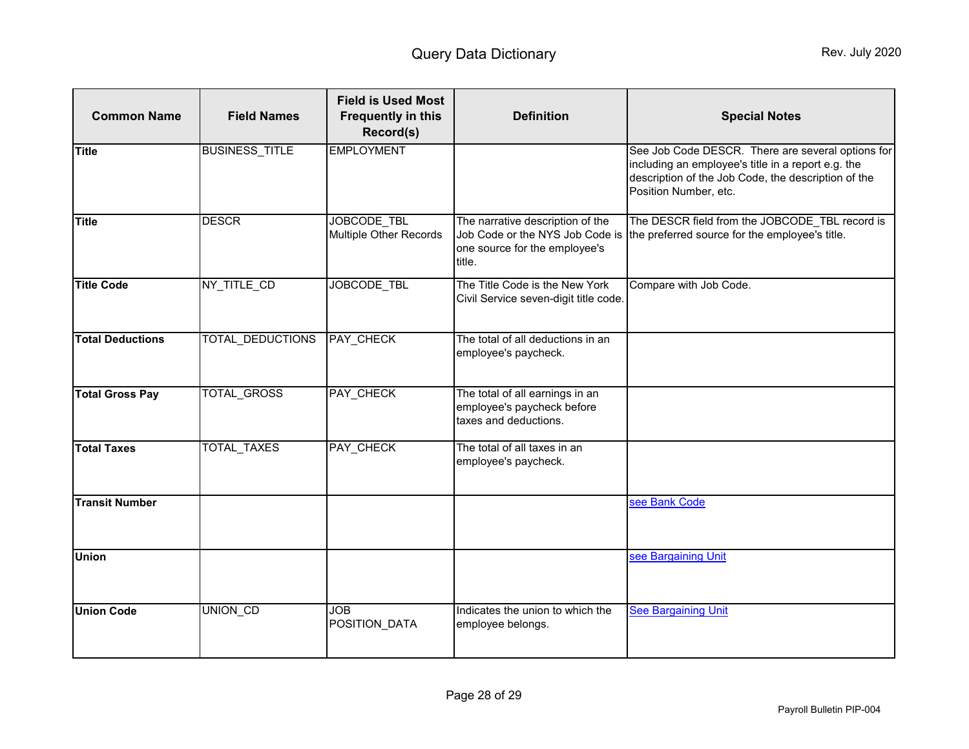<span id="page-27-1"></span><span id="page-27-0"></span>

| <b>Common Name</b>      | <b>Field Names</b>      | <b>Field is Used Most</b><br><b>Frequently in this</b><br>Record(s) | <b>Definition</b>                                                                                              | <b>Special Notes</b>                                                                                                                                                                    |
|-------------------------|-------------------------|---------------------------------------------------------------------|----------------------------------------------------------------------------------------------------------------|-----------------------------------------------------------------------------------------------------------------------------------------------------------------------------------------|
| <b>Title</b>            | <b>BUSINESS_TITLE</b>   | <b>EMPLOYMENT</b>                                                   |                                                                                                                | See Job Code DESCR. There are several options for<br>including an employee's title in a report e.g. the<br>description of the Job Code, the description of the<br>Position Number, etc. |
| <b>Title</b>            | <b>DESCR</b>            | JOBCODE TBL<br>Multiple Other Records                               | The narrative description of the<br>Job Code or the NYS Job Code is<br>one source for the employee's<br>title. | The DESCR field from the JOBCODE_TBL record is<br>the preferred source for the employee's title.                                                                                        |
| <b>Title Code</b>       | NY_TITLE_CD             | JOBCODE_TBL                                                         | The Title Code is the New York<br>Civil Service seven-digit title code.                                        | Compare with Job Code.                                                                                                                                                                  |
| <b>Total Deductions</b> | <b>TOTAL DEDUCTIONS</b> | <b>PAY CHECK</b>                                                    | The total of all deductions in an<br>employee's paycheck.                                                      |                                                                                                                                                                                         |
| <b>Total Gross Pay</b>  | TOTAL_GROSS             | PAY_CHECK                                                           | The total of all earnings in an<br>employee's paycheck before<br>taxes and deductions.                         |                                                                                                                                                                                         |
| <b>Total Taxes</b>      | <b>TOTAL_TAXES</b>      | PAY_CHECK                                                           | The total of all taxes in an<br>employee's paycheck.                                                           |                                                                                                                                                                                         |
| <b>Transit Number</b>   |                         |                                                                     |                                                                                                                | see Bank Code                                                                                                                                                                           |
| <b>Union</b>            |                         |                                                                     |                                                                                                                | see Bargaining Unit                                                                                                                                                                     |
| <b>Union Code</b>       | UNION_CD                | <b>JOB</b><br>POSITION_DATA                                         | Indicates the union to which the<br>employee belongs.                                                          | <b>See Bargaining Unit</b>                                                                                                                                                              |